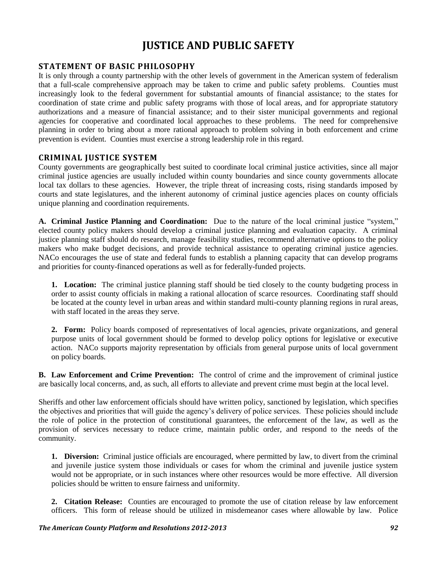# **JUSTICE AND PUBLIC SAFETY**

# **STATEMENT OF BASIC PHILOSOPHY**

It is only through a county partnership with the other levels of government in the American system of federalism that a full-scale comprehensive approach may be taken to crime and public safety problems. Counties must increasingly look to the federal government for substantial amounts of financial assistance; to the states for coordination of state crime and public safety programs with those of local areas, and for appropriate statutory authorizations and a measure of financial assistance; and to their sister municipal governments and regional agencies for cooperative and coordinated local approaches to these problems. The need for comprehensive planning in order to bring about a more rational approach to problem solving in both enforcement and crime prevention is evident. Counties must exercise a strong leadership role in this regard.

# **CRIMINAL JUSTICE SYSTEM**

County governments are geographically best suited to coordinate local criminal justice activities, since all major criminal justice agencies are usually included within county boundaries and since county governments allocate local tax dollars to these agencies. However, the triple threat of increasing costs, rising standards imposed by courts and state legislatures, and the inherent autonomy of criminal justice agencies places on county officials unique planning and coordination requirements.

**A. Criminal Justice Planning and Coordination:** Due to the nature of the local criminal justice "system," elected county policy makers should develop a criminal justice planning and evaluation capacity. A criminal justice planning staff should do research, manage feasibility studies, recommend alternative options to the policy makers who make budget decisions, and provide technical assistance to operating criminal justice agencies. NACo encourages the use of state and federal funds to establish a planning capacity that can develop programs and priorities for county-financed operations as well as for federally-funded projects.

**1. Location:** The criminal justice planning staff should be tied closely to the county budgeting process in order to assist county officials in making a rational allocation of scarce resources. Coordinating staff should be located at the county level in urban areas and within standard multi-county planning regions in rural areas, with staff located in the areas they serve.

**2. Form:** Policy boards composed of representatives of local agencies, private organizations, and general purpose units of local government should be formed to develop policy options for legislative or executive action. NACo supports majority representation by officials from general purpose units of local government on policy boards.

**B. Law Enforcement and Crime Prevention:** The control of crime and the improvement of criminal justice are basically local concerns, and, as such, all efforts to alleviate and prevent crime must begin at the local level.

Sheriffs and other law enforcement officials should have written policy, sanctioned by legislation, which specifies the objectives and priorities that will guide the agency"s delivery of police services. These policies should include the role of police in the protection of constitutional guarantees, the enforcement of the law, as well as the provision of services necessary to reduce crime, maintain public order, and respond to the needs of the community.

**1. Diversion:** Criminal justice officials are encouraged, where permitted by law, to divert from the criminal and juvenile justice system those individuals or cases for whom the criminal and juvenile justice system would not be appropriate, or in such instances where other resources would be more effective. All diversion policies should be written to ensure fairness and uniformity.

**2. Citation Release:** Counties are encouraged to promote the use of citation release by law enforcement officers. This form of release should be utilized in misdemeanor cases where allowable by law. Police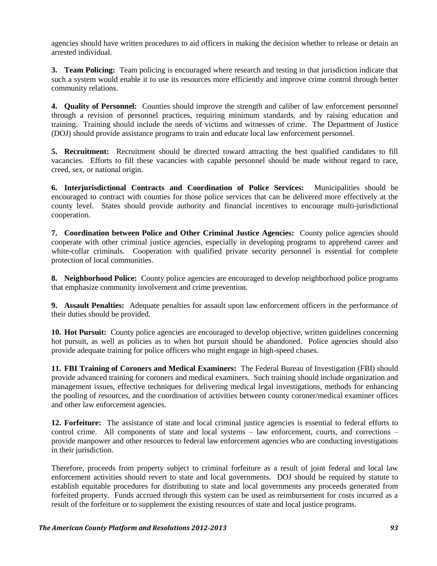agencies should have written procedures to aid officers in making the decision whether to release or detain an arrested individual.

**3. Team Policing:** Team policing is encouraged where research and testing in that jurisdiction indicate that such a system would enable it to use its resources more efficiently and improve crime control through better community relations.

**4. Quality of Personnel:** Counties should improve the strength and caliber of law enforcement personnel through a revision of personnel practices, requiring minimum standards, and by raising education and training. Training should include the needs of victims and witnesses of crime. The Department of Justice (DOJ) should provide assistance programs to train and educate local law enforcement personnel.

**5. Recruitment:** Recruitment should be directed toward attracting the best qualified candidates to fill vacancies. Efforts to fill these vacancies with capable personnel should be made without regard to race, creed, sex, or national origin.

**6. Interjurisdictional Contracts and Coordination of Police Services:** Municipalities should be encouraged to contract with counties for those police services that can be delivered more effectively at the county level. States should provide authority and financial incentives to encourage multi-jurisdictional cooperation.

**7. Coordination between Police and Other Criminal Justice Agencies:** County police agencies should cooperate with other criminal justice agencies, especially in developing programs to apprehend career and white-collar criminals. Cooperation with qualified private security personnel is essential for complete protection of local communities.

**8. Neighborhood Police:** County police agencies are encouraged to develop neighborhood police programs that emphasize community involvement and crime prevention.

**9. Assault Penalties:** Adequate penalties for assault upon law enforcement officers in the performance of their duties should be provided.

**10. Hot Pursuit:** County police agencies are encouraged to develop objective, written guidelines concerning hot pursuit, as well as policies as to when hot pursuit should be abandoned. Police agencies should also provide adequate training for police officers who might engage in high-speed chases.

**11. FBI Training of Coroners and Medical Examiners:** The Federal Bureau of Investigation (FBI) should provide advanced training for coroners and medical examiners. Such training should include organization and management issues, effective techniques for delivering medical legal investigations, methods for enhancing the pooling of resources, and the coordination of activities between county coroner/medical examiner offices and other law enforcement agencies.

**12. Forfeiture:** The assistance of state and local criminal justice agencies is essential to federal efforts to control crime. All components of state and local systems – law enforcement, courts, and corrections – provide manpower and other resources to federal law enforcement agencies who are conducting investigations in their jurisdiction.

Therefore, proceeds from property subject to criminal forfeiture as a result of joint federal and local law enforcement activities should revert to state and local governments. DOJ should be required by statute to establish equitable procedures for distributing to state and local governments any proceeds generated from forfeited property. Funds accrued through this system can be used as reimbursement for costs incurred as a result of the forfeiture or to supplement the existing resources of state and local justice programs.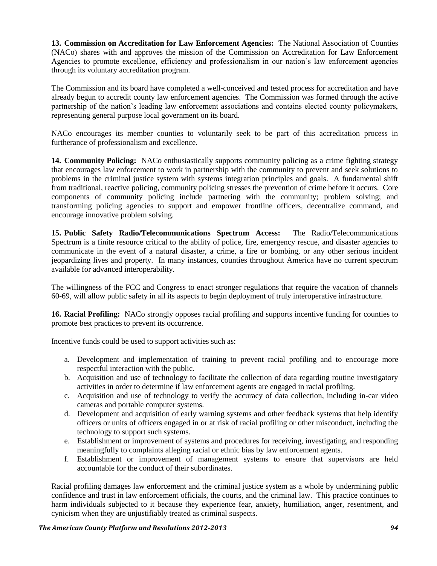**13. Commission on Accreditation for Law Enforcement Agencies:** The National Association of Counties (NACo) shares with and approves the mission of the Commission on Accreditation for Law Enforcement Agencies to promote excellence, efficiency and professionalism in our nation"s law enforcement agencies through its voluntary accreditation program.

The Commission and its board have completed a well-conceived and tested process for accreditation and have already begun to accredit county law enforcement agencies. The Commission was formed through the active partnership of the nation's leading law enforcement associations and contains elected county policymakers, representing general purpose local government on its board.

NACo encourages its member counties to voluntarily seek to be part of this accreditation process in furtherance of professionalism and excellence.

**14. Community Policing:** NACo enthusiastically supports community policing as a crime fighting strategy that encourages law enforcement to work in partnership with the community to prevent and seek solutions to problems in the criminal justice system with systems integration principles and goals. A fundamental shift from traditional, reactive policing, community policing stresses the prevention of crime before it occurs. Core components of community policing include partnering with the community; problem solving; and transforming policing agencies to support and empower frontline officers, decentralize command, and encourage innovative problem solving.

**15. Public Safety Radio/Telecommunications Spectrum Access:** The Radio/Telecommunications Spectrum is a finite resource critical to the ability of police, fire, emergency rescue, and disaster agencies to communicate in the event of a natural disaster, a crime, a fire or bombing, or any other serious incident jeopardizing lives and property. In many instances, counties throughout America have no current spectrum available for advanced interoperability.

The willingness of the FCC and Congress to enact stronger regulations that require the vacation of channels 60-69, will allow public safety in all its aspects to begin deployment of truly interoperative infrastructure.

**16. Racial Profiling:** NACo strongly opposes racial profiling and supports incentive funding for counties to promote best practices to prevent its occurrence.

Incentive funds could be used to support activities such as:

- a. Development and implementation of training to prevent racial profiling and to encourage more respectful interaction with the public.
- b. Acquisition and use of technology to facilitate the collection of data regarding routine investigatory activities in order to determine if law enforcement agents are engaged in racial profiling.
- c. Acquisition and use of technology to verify the accuracy of data collection, including in-car video cameras and portable computer systems.
- d. Development and acquisition of early warning systems and other feedback systems that help identify officers or units of officers engaged in or at risk of racial profiling or other misconduct, including the technology to support such systems.
- e. Establishment or improvement of systems and procedures for receiving, investigating, and responding meaningfully to complaints alleging racial or ethnic bias by law enforcement agents.
- f. Establishment or improvement of management systems to ensure that supervisors are held accountable for the conduct of their subordinates.

Racial profiling damages law enforcement and the criminal justice system as a whole by undermining public confidence and trust in law enforcement officials, the courts, and the criminal law. This practice continues to harm individuals subjected to it because they experience fear, anxiety, humiliation, anger, resentment, and cynicism when they are unjustifiably treated as criminal suspects.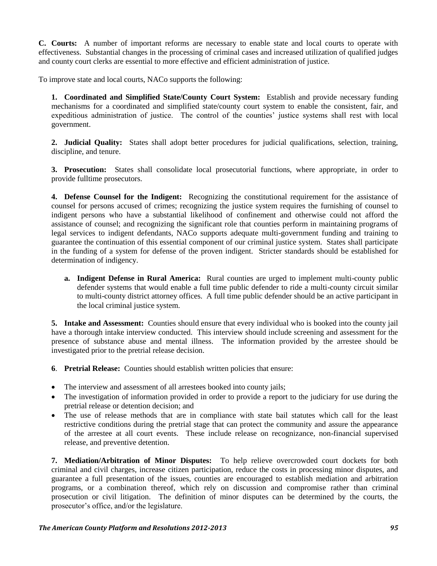**C. Courts:** A number of important reforms are necessary to enable state and local courts to operate with effectiveness. Substantial changes in the processing of criminal cases and increased utilization of qualified judges and county court clerks are essential to more effective and efficient administration of justice.

To improve state and local courts, NACo supports the following:

**1. Coordinated and Simplified State/County Court System:** Establish and provide necessary funding mechanisms for a coordinated and simplified state/county court system to enable the consistent, fair, and expeditious administration of justice. The control of the counties" justice systems shall rest with local government.

**2. Judicial Quality:** States shall adopt better procedures for judicial qualifications, selection, training, discipline, and tenure.

**3. Prosecution:** States shall consolidate local prosecutorial functions, where appropriate, in order to provide fulltime prosecutors.

**4. Defense Counsel for the Indigent:** Recognizing the constitutional requirement for the assistance of counsel for persons accused of crimes; recognizing the justice system requires the furnishing of counsel to indigent persons who have a substantial likelihood of confinement and otherwise could not afford the assistance of counsel; and recognizing the significant role that counties perform in maintaining programs of legal services to indigent defendants, NACo supports adequate multi-government funding and training to guarantee the continuation of this essential component of our criminal justice system. States shall participate in the funding of a system for defense of the proven indigent. Stricter standards should be established for determination of indigency.

**a. Indigent Defense in Rural America:** Rural counties are urged to implement multi-county public defender systems that would enable a full time public defender to ride a multi-county circuit similar to multi-county district attorney offices. A full time public defender should be an active participant in the local criminal justice system.

**5. Intake and Assessment:** Counties should ensure that every individual who is booked into the county jail have a thorough intake interview conducted. This interview should include screening and assessment for the presence of substance abuse and mental illness. The information provided by the arrestee should be investigated prior to the pretrial release decision.

**6**. **Pretrial Release:** Counties should establish written policies that ensure:

- The interview and assessment of all arrestees booked into county jails;
- The investigation of information provided in order to provide a report to the judiciary for use during the pretrial release or detention decision; and
- The use of release methods that are in compliance with state bail statutes which call for the least restrictive conditions during the pretrial stage that can protect the community and assure the appearance of the arrestee at all court events. These include release on recognizance, non-financial supervised release, and preventive detention.

**7. Mediation/Arbitration of Minor Disputes:** To help relieve overcrowded court dockets for both criminal and civil charges, increase citizen participation, reduce the costs in processing minor disputes, and guarantee a full presentation of the issues, counties are encouraged to establish mediation and arbitration programs, or a combination thereof, which rely on discussion and compromise rather than criminal prosecution or civil litigation. The definition of minor disputes can be determined by the courts, the prosecutor"s office, and/or the legislature.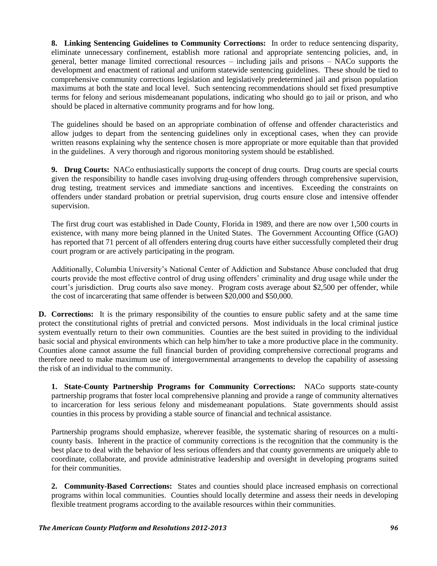**8. Linking Sentencing Guidelines to Community Corrections:** In order to reduce sentencing disparity, eliminate unnecessary confinement, establish more rational and appropriate sentencing policies, and, in general, better manage limited correctional resources – including jails and prisons – NACo supports the development and enactment of rational and uniform statewide sentencing guidelines. These should be tied to comprehensive community corrections legislation and legislatively predetermined jail and prison population maximums at both the state and local level. Such sentencing recommendations should set fixed presumptive terms for felony and serious misdemeanant populations, indicating who should go to jail or prison, and who should be placed in alternative community programs and for how long.

The guidelines should be based on an appropriate combination of offense and offender characteristics and allow judges to depart from the sentencing guidelines only in exceptional cases, when they can provide written reasons explaining why the sentence chosen is more appropriate or more equitable than that provided in the guidelines. A very thorough and rigorous monitoring system should be established.

**9. Drug Courts:** NACo enthusiastically supports the concept of drug courts. Drug courts are special courts given the responsibility to handle cases involving drug-using offenders through comprehensive supervision, drug testing, treatment services and immediate sanctions and incentives. Exceeding the constraints on offenders under standard probation or pretrial supervision, drug courts ensure close and intensive offender supervision.

The first drug court was established in Dade County, Florida in 1989, and there are now over 1,500 courts in existence, with many more being planned in the United States. The Government Accounting Office (GAO) has reported that 71 percent of all offenders entering drug courts have either successfully completed their drug court program or are actively participating in the program.

Additionally, Columbia University"s National Center of Addiction and Substance Abuse concluded that drug courts provide the most effective control of drug using offenders" criminality and drug usage while under the court's jurisdiction. Drug courts also save money. Program costs average about \$2,500 per offender, while the cost of incarcerating that same offender is between \$20,000 and \$50,000.

**D. Corrections:** It is the primary responsibility of the counties to ensure public safety and at the same time protect the constitutional rights of pretrial and convicted persons. Most individuals in the local criminal justice system eventually return to their own communities. Counties are the best suited in providing to the individual basic social and physical environments which can help him/her to take a more productive place in the community. Counties alone cannot assume the full financial burden of providing comprehensive correctional programs and therefore need to make maximum use of intergovernmental arrangements to develop the capability of assessing the risk of an individual to the community.

**1. State-County Partnership Programs for Community Corrections:** NACo supports state-county partnership programs that foster local comprehensive planning and provide a range of community alternatives to incarceration for less serious felony and misdemeanant populations. State governments should assist counties in this process by providing a stable source of financial and technical assistance.

Partnership programs should emphasize, wherever feasible, the systematic sharing of resources on a multicounty basis. Inherent in the practice of community corrections is the recognition that the community is the best place to deal with the behavior of less serious offenders and that county governments are uniquely able to coordinate, collaborate, and provide administrative leadership and oversight in developing programs suited for their communities.

**2. Community-Based Corrections:** States and counties should place increased emphasis on correctional programs within local communities. Counties should locally determine and assess their needs in developing flexible treatment programs according to the available resources within their communities.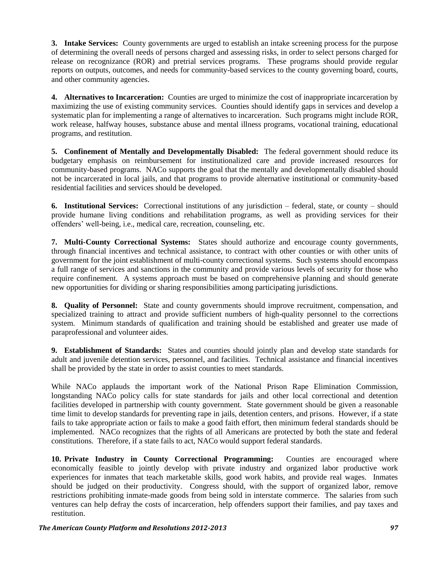**3. Intake Services:** County governments are urged to establish an intake screening process for the purpose of determining the overall needs of persons charged and assessing risks, in order to select persons charged for release on recognizance (ROR) and pretrial services programs. These programs should provide regular reports on outputs, outcomes, and needs for community-based services to the county governing board, courts, and other community agencies.

**4. Alternatives to Incarceration:** Counties are urged to minimize the cost of inappropriate incarceration by maximizing the use of existing community services. Counties should identify gaps in services and develop a systematic plan for implementing a range of alternatives to incarceration. Such programs might include ROR, work release, halfway houses, substance abuse and mental illness programs, vocational training, educational programs, and restitution.

**5. Confinement of Mentally and Developmentally Disabled:** The federal government should reduce its budgetary emphasis on reimbursement for institutionalized care and provide increased resources for community-based programs. NACo supports the goal that the mentally and developmentally disabled should not be incarcerated in local jails, and that programs to provide alternative institutional or community-based residential facilities and services should be developed.

**6. Institutional Services:** Correctional institutions of any jurisdiction – federal, state, or county – should provide humane living conditions and rehabilitation programs, as well as providing services for their offenders" well-being, i.e., medical care, recreation, counseling, etc.

**7. Multi-County Correctional Systems:** States should authorize and encourage county governments, through financial incentives and technical assistance, to contract with other counties or with other units of government for the joint establishment of multi-county correctional systems. Such systems should encompass a full range of services and sanctions in the community and provide various levels of security for those who require confinement. A systems approach must be based on comprehensive planning and should generate new opportunities for dividing or sharing responsibilities among participating jurisdictions.

**8. Quality of Personnel:** State and county governments should improve recruitment, compensation, and specialized training to attract and provide sufficient numbers of high-quality personnel to the corrections system. Minimum standards of qualification and training should be established and greater use made of paraprofessional and volunteer aides.

**9. Establishment of Standards:** States and counties should jointly plan and develop state standards for adult and juvenile detention services, personnel, and facilities. Technical assistance and financial incentives shall be provided by the state in order to assist counties to meet standards.

While NACo applauds the important work of the National Prison Rape Elimination Commission, longstanding NACo policy calls for state standards for jails and other local correctional and detention facilities developed in partnership with county government. State government should be given a reasonable time limit to develop standards for preventing rape in jails, detention centers, and prisons. However, if a state fails to take appropriate action or fails to make a good faith effort, then minimum federal standards should be implemented. NACo recognizes that the rights of all Americans are protected by both the state and federal constitutions. Therefore, if a state fails to act, NACo would support federal standards.

**10. Private Industry in County Correctional Programming:** Counties are encouraged where economically feasible to jointly develop with private industry and organized labor productive work experiences for inmates that teach marketable skills, good work habits, and provide real wages. Inmates should be judged on their productivity. Congress should, with the support of organized labor, remove restrictions prohibiting inmate-made goods from being sold in interstate commerce. The salaries from such ventures can help defray the costs of incarceration, help offenders support their families, and pay taxes and restitution.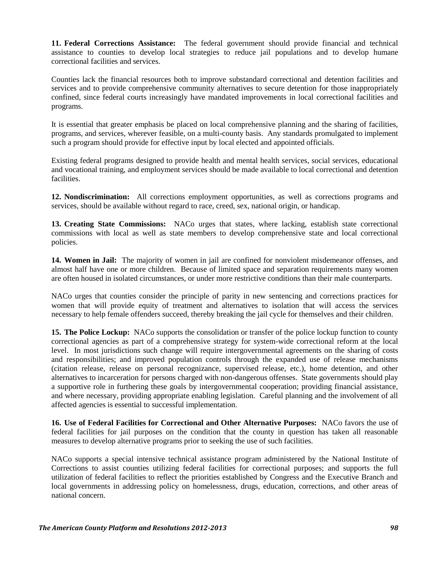**11. Federal Corrections Assistance:** The federal government should provide financial and technical assistance to counties to develop local strategies to reduce jail populations and to develop humane correctional facilities and services.

Counties lack the financial resources both to improve substandard correctional and detention facilities and services and to provide comprehensive community alternatives to secure detention for those inappropriately confined, since federal courts increasingly have mandated improvements in local correctional facilities and programs.

It is essential that greater emphasis be placed on local comprehensive planning and the sharing of facilities, programs, and services, wherever feasible, on a multi-county basis. Any standards promulgated to implement such a program should provide for effective input by local elected and appointed officials.

Existing federal programs designed to provide health and mental health services, social services, educational and vocational training, and employment services should be made available to local correctional and detention facilities.

**12. Nondiscrimination:** All corrections employment opportunities, as well as corrections programs and services, should be available without regard to race, creed, sex, national origin, or handicap.

**13. Creating State Commissions:** NACo urges that states, where lacking, establish state correctional commissions with local as well as state members to develop comprehensive state and local correctional policies.

**14. Women in Jail:** The majority of women in jail are confined for nonviolent misdemeanor offenses, and almost half have one or more children. Because of limited space and separation requirements many women are often housed in isolated circumstances, or under more restrictive conditions than their male counterparts.

NACo urges that counties consider the principle of parity in new sentencing and corrections practices for women that will provide equity of treatment and alternatives to isolation that will access the services necessary to help female offenders succeed, thereby breaking the jail cycle for themselves and their children.

**15. The Police Lockup:** NACo supports the consolidation or transfer of the police lockup function to county correctional agencies as part of a comprehensive strategy for system-wide correctional reform at the local level. In most jurisdictions such change will require intergovernmental agreements on the sharing of costs and responsibilities; and improved population controls through the expanded use of release mechanisms (citation release, release on personal recognizance, supervised release, etc.), home detention, and other alternatives to incarceration for persons charged with non-dangerous offenses. State governments should play a supportive role in furthering these goals by intergovernmental cooperation; providing financial assistance, and where necessary, providing appropriate enabling legislation. Careful planning and the involvement of all affected agencies is essential to successful implementation.

**16. Use of Federal Facilities for Correctional and Other Alternative Purposes:** NACo favors the use of federal facilities for jail purposes on the condition that the county in question has taken all reasonable measures to develop alternative programs prior to seeking the use of such facilities.

NACo supports a special intensive technical assistance program administered by the National Institute of Corrections to assist counties utilizing federal facilities for correctional purposes; and supports the full utilization of federal facilities to reflect the priorities established by Congress and the Executive Branch and local governments in addressing policy on homelessness, drugs, education, corrections, and other areas of national concern.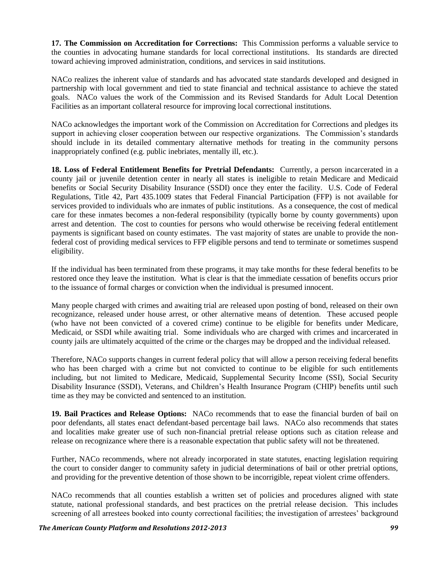**17. The Commission on Accreditation for Corrections:** This Commission performs a valuable service to the counties in advocating humane standards for local correctional institutions. Its standards are directed toward achieving improved administration, conditions, and services in said institutions.

NACo realizes the inherent value of standards and has advocated state standards developed and designed in partnership with local government and tied to state financial and technical assistance to achieve the stated goals. NACo values the work of the Commission and its Revised Standards for Adult Local Detention Facilities as an important collateral resource for improving local correctional institutions.

NACo acknowledges the important work of the Commission on Accreditation for Corrections and pledges its support in achieving closer cooperation between our respective organizations. The Commission's standards should include in its detailed commentary alternative methods for treating in the community persons inappropriately confined (e.g. public inebriates, mentally ill, etc.).

**18. Loss of Federal Entitlement Benefits for Pretrial Defendants:** Currently, a person incarcerated in a county jail or juvenile detention center in nearly all states is ineligible to retain Medicare and Medicaid benefits or Social Security Disability Insurance (SSDI) once they enter the facility. U.S. Code of Federal Regulations, Title 42, Part 435.1009 states that Federal Financial Participation (FFP) is not available for services provided to individuals who are inmates of public institutions. As a consequence, the cost of medical care for these inmates becomes a non-federal responsibility (typically borne by county governments) upon arrest and detention. The cost to counties for persons who would otherwise be receiving federal entitlement payments is significant based on county estimates. The vast majority of states are unable to provide the nonfederal cost of providing medical services to FFP eligible persons and tend to terminate or sometimes suspend eligibility.

If the individual has been terminated from these programs, it may take months for these federal benefits to be restored once they leave the institution. What is clear is that the immediate cessation of benefits occurs prior to the issuance of formal charges or conviction when the individual is presumed innocent.

Many people charged with crimes and awaiting trial are released upon posting of bond, released on their own recognizance, released under house arrest, or other alternative means of detention. These accused people (who have not been convicted of a covered crime) continue to be eligible for benefits under Medicare, Medicaid, or SSDI while awaiting trial. Some individuals who are charged with crimes and incarcerated in county jails are ultimately acquitted of the crime or the charges may be dropped and the individual released.

Therefore, NACo supports changes in current federal policy that will allow a person receiving federal benefits who has been charged with a crime but not convicted to continue to be eligible for such entitlements including, but not limited to Medicare, Medicaid, Supplemental Security Income (SSI), Social Security Disability Insurance (SSDI), Veterans, and Children"s Health Insurance Program (CHIP) benefits until such time as they may be convicted and sentenced to an institution.

**19. Bail Practices and Release Options:** NACo recommends that to ease the financial burden of bail on poor defendants, all states enact defendant-based percentage bail laws. NACo also recommends that states and localities make greater use of such non-financial pretrial release options such as citation release and release on recognizance where there is a reasonable expectation that public safety will not be threatened.

Further, NACo recommends, where not already incorporated in state statutes, enacting legislation requiring the court to consider danger to community safety in judicial determinations of bail or other pretrial options, and providing for the preventive detention of those shown to be incorrigible, repeat violent crime offenders.

NACo recommends that all counties establish a written set of policies and procedures aligned with state statute, national professional standards, and best practices on the pretrial release decision. This includes screening of all arrestees booked into county correctional facilities; the investigation of arrestees' background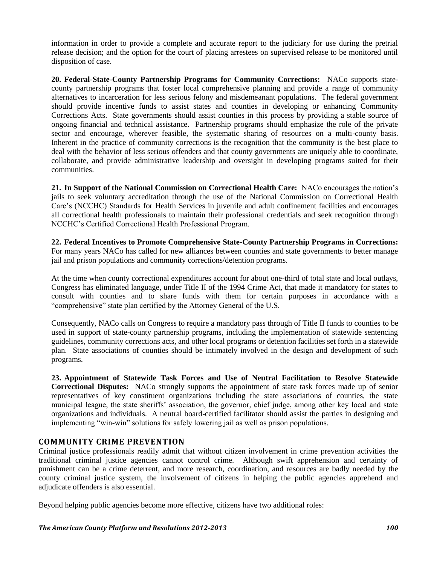information in order to provide a complete and accurate report to the judiciary for use during the pretrial release decision; and the option for the court of placing arrestees on supervised release to be monitored until disposition of case.

**20. Federal-State-County Partnership Programs for Community Corrections:** NACo supports statecounty partnership programs that foster local comprehensive planning and provide a range of community alternatives to incarceration for less serious felony and misdemeanant populations. The federal government should provide incentive funds to assist states and counties in developing or enhancing Community Corrections Acts. State governments should assist counties in this process by providing a stable source of ongoing financial and technical assistance. Partnership programs should emphasize the role of the private sector and encourage, wherever feasible, the systematic sharing of resources on a multi-county basis. Inherent in the practice of community corrections is the recognition that the community is the best place to deal with the behavior of less serious offenders and that county governments are uniquely able to coordinate, collaborate, and provide administrative leadership and oversight in developing programs suited for their communities.

**21. In Support of the National Commission on Correctional Health Care:** NACo encourages the nation"s jails to seek voluntary accreditation through the use of the National Commission on Correctional Health Care"s (NCCHC) Standards for Health Services in juvenile and adult confinement facilities and encourages all correctional health professionals to maintain their professional credentials and seek recognition through NCCHC"s Certified Correctional Health Professional Program.

**22. Federal Incentives to Promote Comprehensive State-County Partnership Programs in Corrections:** For many years NACo has called for new alliances between counties and state governments to better manage jail and prison populations and community corrections/detention programs.

At the time when county correctional expenditures account for about one-third of total state and local outlays, Congress has eliminated language, under Title II of the 1994 Crime Act, that made it mandatory for states to consult with counties and to share funds with them for certain purposes in accordance with a "comprehensive" state plan certified by the Attorney General of the U.S.

Consequently, NACo calls on Congress to require a mandatory pass through of Title II funds to counties to be used in support of state-county partnership programs, including the implementation of statewide sentencing guidelines, community corrections acts, and other local programs or detention facilities set forth in a statewide plan. State associations of counties should be intimately involved in the design and development of such programs.

**23. Appointment of Statewide Task Forces and Use of Neutral Facilitation to Resolve Statewide Correctional Disputes:** NACo strongly supports the appointment of state task forces made up of senior representatives of key constituent organizations including the state associations of counties, the state municipal league, the state sheriffs' association, the governor, chief judge, among other key local and state organizations and individuals. A neutral board-certified facilitator should assist the parties in designing and implementing "win-win" solutions for safely lowering jail as well as prison populations.

# **COMMUNITY CRIME PREVENTION**

Criminal justice professionals readily admit that without citizen involvement in crime prevention activities the traditional criminal justice agencies cannot control crime. Although swift apprehension and certainty of punishment can be a crime deterrent, and more research, coordination, and resources are badly needed by the county criminal justice system, the involvement of citizens in helping the public agencies apprehend and adjudicate offenders is also essential.

Beyond helping public agencies become more effective, citizens have two additional roles: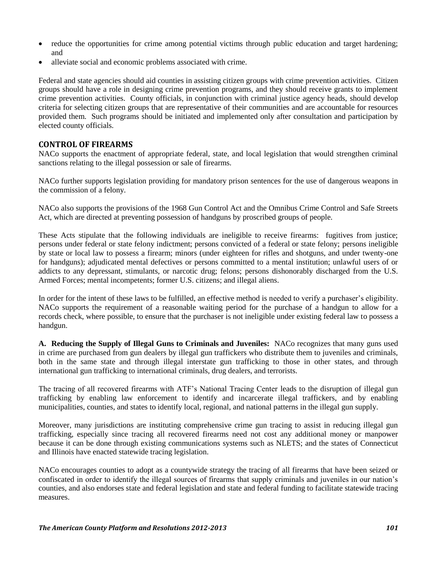- reduce the opportunities for crime among potential victims through public education and target hardening; and
- alleviate social and economic problems associated with crime.

Federal and state agencies should aid counties in assisting citizen groups with crime prevention activities. Citizen groups should have a role in designing crime prevention programs, and they should receive grants to implement crime prevention activities. County officials, in conjunction with criminal justice agency heads, should develop criteria for selecting citizen groups that are representative of their communities and are accountable for resources provided them. Such programs should be initiated and implemented only after consultation and participation by elected county officials.

### **CONTROL OF FIREARMS**

NACo supports the enactment of appropriate federal, state, and local legislation that would strengthen criminal sanctions relating to the illegal possession or sale of firearms.

NACo further supports legislation providing for mandatory prison sentences for the use of dangerous weapons in the commission of a felony.

NACo also supports the provisions of the 1968 Gun Control Act and the Omnibus Crime Control and Safe Streets Act, which are directed at preventing possession of handguns by proscribed groups of people.

These Acts stipulate that the following individuals are ineligible to receive firearms: fugitives from justice; persons under federal or state felony indictment; persons convicted of a federal or state felony; persons ineligible by state or local law to possess a firearm; minors (under eighteen for rifles and shotguns, and under twenty-one for handguns); adjudicated mental defectives or persons committed to a mental institution; unlawful users of or addicts to any depressant, stimulants, or narcotic drug; felons; persons dishonorably discharged from the U.S. Armed Forces; mental incompetents; former U.S. citizens; and illegal aliens.

In order for the intent of these laws to be fulfilled, an effective method is needed to verify a purchaser's eligibility. NACo supports the requirement of a reasonable waiting period for the purchase of a handgun to allow for a records check, where possible, to ensure that the purchaser is not ineligible under existing federal law to possess a handgun.

**A. Reducing the Supply of Illegal Guns to Criminals and Juveniles:** NACo recognizes that many guns used in crime are purchased from gun dealers by illegal gun traffickers who distribute them to juveniles and criminals, both in the same state and through illegal interstate gun trafficking to those in other states, and through international gun trafficking to international criminals, drug dealers, and terrorists.

The tracing of all recovered firearms with ATF"s National Tracing Center leads to the disruption of illegal gun trafficking by enabling law enforcement to identify and incarcerate illegal traffickers, and by enabling municipalities, counties, and states to identify local, regional, and national patterns in the illegal gun supply.

Moreover, many jurisdictions are instituting comprehensive crime gun tracing to assist in reducing illegal gun trafficking, especially since tracing all recovered firearms need not cost any additional money or manpower because it can be done through existing communications systems such as NLETS; and the states of Connecticut and Illinois have enacted statewide tracing legislation.

NACo encourages counties to adopt as a countywide strategy the tracing of all firearms that have been seized or confiscated in order to identify the illegal sources of firearms that supply criminals and juveniles in our nation"s counties, and also endorses state and federal legislation and state and federal funding to facilitate statewide tracing measures.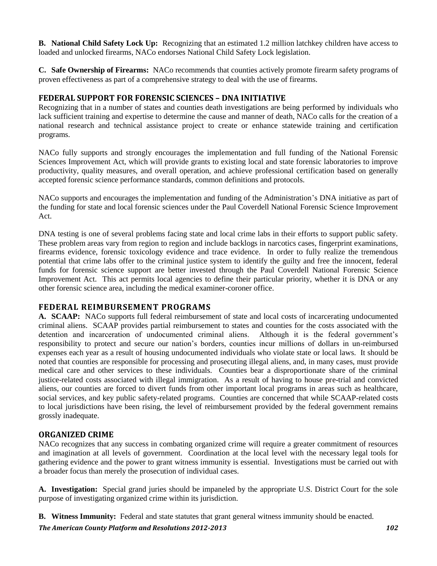**B. National Child Safety Lock Up:** Recognizing that an estimated 1.2 million latchkey children have access to loaded and unlocked firearms, NACo endorses National Child Safety Lock legislation.

**C. Safe Ownership of Firearms:** NACo recommends that counties actively promote firearm safety programs of proven effectiveness as part of a comprehensive strategy to deal with the use of firearms.

### **FEDERAL SUPPORT FOR FORENSIC SCIENCES – DNA INITIATIVE**

Recognizing that in a number of states and counties death investigations are being performed by individuals who lack sufficient training and expertise to determine the cause and manner of death, NACo calls for the creation of a national research and technical assistance project to create or enhance statewide training and certification programs.

NACo fully supports and strongly encourages the implementation and full funding of the National Forensic Sciences Improvement Act, which will provide grants to existing local and state forensic laboratories to improve productivity, quality measures, and overall operation, and achieve professional certification based on generally accepted forensic science performance standards, common definitions and protocols.

NACo supports and encourages the implementation and funding of the Administration"s DNA initiative as part of the funding for state and local forensic sciences under the Paul Coverdell National Forensic Science Improvement Act.

DNA testing is one of several problems facing state and local crime labs in their efforts to support public safety. These problem areas vary from region to region and include backlogs in narcotics cases, fingerprint examinations, firearms evidence, forensic toxicology evidence and trace evidence. In order to fully realize the tremendous potential that crime labs offer to the criminal justice system to identify the guilty and free the innocent, federal funds for forensic science support are better invested through the Paul Coverdell National Forensic Science Improvement Act. This act permits local agencies to define their particular priority, whether it is DNA or any other forensic science area, including the medical examiner-coroner office.

# **FEDERAL REIMBURSEMENT PROGRAMS**

**A. SCAAP:** NACo supports full federal reimbursement of state and local costs of incarcerating undocumented criminal aliens. SCAAP provides partial reimbursement to states and counties for the costs associated with the detention and incarceration of undocumented criminal aliens. Although it is the federal government's responsibility to protect and secure our nation"s borders, counties incur millions of dollars in un-reimbursed expenses each year as a result of housing undocumented individuals who violate state or local laws. It should be noted that counties are responsible for processing and prosecuting illegal aliens, and, in many cases, must provide medical care and other services to these individuals. Counties bear a disproportionate share of the criminal justice-related costs associated with illegal immigration. As a result of having to house pre-trial and convicted aliens, our counties are forced to divert funds from other important local programs in areas such as healthcare, social services, and key public safety-related programs. Counties are concerned that while SCAAP-related costs to local jurisdictions have been rising, the level of reimbursement provided by the federal government remains grossly inadequate.

# **ORGANIZED CRIME**

NACo recognizes that any success in combating organized crime will require a greater commitment of resources and imagination at all levels of government. Coordination at the local level with the necessary legal tools for gathering evidence and the power to grant witness immunity is essential. Investigations must be carried out with a broader focus than merely the prosecution of individual cases.

**A. Investigation:** Special grand juries should be impaneled by the appropriate U.S. District Court for the sole purpose of investigating organized crime within its jurisdiction.

**B. Witness Immunity:** Federal and state statutes that grant general witness immunity should be enacted.

*The American County Platform and Resolutions 2012-2013 102*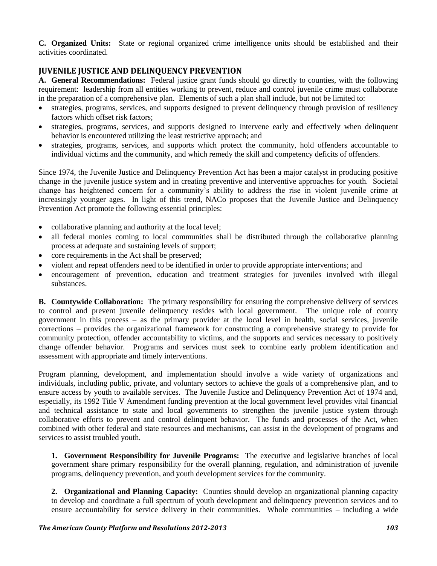**C. Organized Units:** State or regional organized crime intelligence units should be established and their activities coordinated.

# **JUVENILE JUSTICE AND DELINQUENCY PREVENTION**

**A. General Recommendations:** Federal justice grant funds should go directly to counties, with the following requirement: leadership from all entities working to prevent, reduce and control juvenile crime must collaborate in the preparation of a comprehensive plan. Elements of such a plan shall include, but not be limited to:

- strategies, programs, services, and supports designed to prevent delinquency through provision of resiliency factors which offset risk factors;
- strategies, programs, services, and supports designed to intervene early and effectively when delinquent behavior is encountered utilizing the least restrictive approach; and
- strategies, programs, services, and supports which protect the community, hold offenders accountable to individual victims and the community, and which remedy the skill and competency deficits of offenders.

Since 1974, the Juvenile Justice and Delinquency Prevention Act has been a major catalyst in producing positive change in the juvenile justice system and in creating preventive and interventive approaches for youth. Societal change has heightened concern for a community"s ability to address the rise in violent juvenile crime at increasingly younger ages. In light of this trend, NACo proposes that the Juvenile Justice and Delinquency Prevention Act promote the following essential principles:

- collaborative planning and authority at the local level;
- all federal monies coming to local communities shall be distributed through the collaborative planning process at adequate and sustaining levels of support;
- core requirements in the Act shall be preserved;
- violent and repeat offenders need to be identified in order to provide appropriate interventions; and
- encouragement of prevention, education and treatment strategies for juveniles involved with illegal substances.

**B. Countywide Collaboration:** The primary responsibility for ensuring the comprehensive delivery of services to control and prevent juvenile delinquency resides with local government. The unique role of county government in this process – as the primary provider at the local level in health, social services, juvenile corrections – provides the organizational framework for constructing a comprehensive strategy to provide for community protection, offender accountability to victims, and the supports and services necessary to positively change offender behavior. Programs and services must seek to combine early problem identification and assessment with appropriate and timely interventions.

Program planning, development, and implementation should involve a wide variety of organizations and individuals, including public, private, and voluntary sectors to achieve the goals of a comprehensive plan, and to ensure access by youth to available services. The Juvenile Justice and Delinquency Prevention Act of 1974 and, especially, its 1992 Title V Amendment funding prevention at the local government level provides vital financial and technical assistance to state and local governments to strengthen the juvenile justice system through collaborative efforts to prevent and control delinquent behavior. The funds and processes of the Act, when combined with other federal and state resources and mechanisms, can assist in the development of programs and services to assist troubled youth.

**1. Government Responsibility for Juvenile Programs:** The executive and legislative branches of local government share primary responsibility for the overall planning, regulation, and administration of juvenile programs, delinquency prevention, and youth development services for the community.

**2. Organizational and Planning Capacity:** Counties should develop an organizational planning capacity to develop and coordinate a full spectrum of youth development and delinquency prevention services and to ensure accountability for service delivery in their communities. Whole communities – including a wide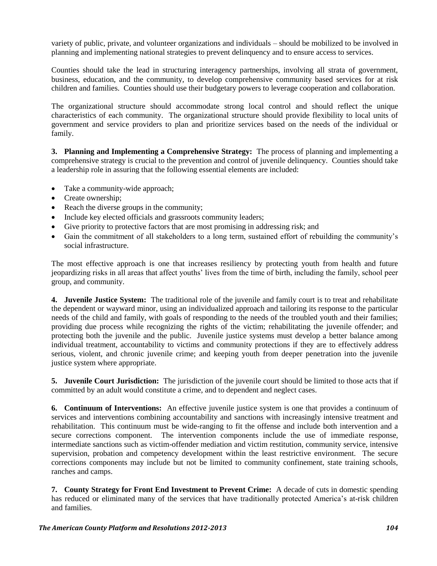variety of public, private, and volunteer organizations and individuals – should be mobilized to be involved in planning and implementing national strategies to prevent delinquency and to ensure access to services.

Counties should take the lead in structuring interagency partnerships, involving all strata of government, business, education, and the community, to develop comprehensive community based services for at risk children and families. Counties should use their budgetary powers to leverage cooperation and collaboration.

The organizational structure should accommodate strong local control and should reflect the unique characteristics of each community. The organizational structure should provide flexibility to local units of government and service providers to plan and prioritize services based on the needs of the individual or family.

**3. Planning and Implementing a Comprehensive Strategy:** The process of planning and implementing a comprehensive strategy is crucial to the prevention and control of juvenile delinquency. Counties should take a leadership role in assuring that the following essential elements are included:

- Take a community-wide approach;
- Create ownership:
- Reach the diverse groups in the community;
- Include key elected officials and grassroots community leaders;
- Give priority to protective factors that are most promising in addressing risk; and
- Gain the commitment of all stakeholders to a long term, sustained effort of rebuilding the community's social infrastructure.

The most effective approach is one that increases resiliency by protecting youth from health and future jeopardizing risks in all areas that affect youths" lives from the time of birth, including the family, school peer group, and community.

**4. Juvenile Justice System:** The traditional role of the juvenile and family court is to treat and rehabilitate the dependent or wayward minor, using an individualized approach and tailoring its response to the particular needs of the child and family, with goals of responding to the needs of the troubled youth and their families; providing due process while recognizing the rights of the victim; rehabilitating the juvenile offender; and protecting both the juvenile and the public. Juvenile justice systems must develop a better balance among individual treatment, accountability to victims and community protections if they are to effectively address serious, violent, and chronic juvenile crime; and keeping youth from deeper penetration into the juvenile justice system where appropriate.

**5. Juvenile Court Jurisdiction:** The jurisdiction of the juvenile court should be limited to those acts that if committed by an adult would constitute a crime, and to dependent and neglect cases.

**6. Continuum of Interventions:** An effective juvenile justice system is one that provides a continuum of services and interventions combining accountability and sanctions with increasingly intensive treatment and rehabilitation. This continuum must be wide-ranging to fit the offense and include both intervention and a secure corrections component. The intervention components include the use of immediate response, intermediate sanctions such as victim-offender mediation and victim restitution, community service, intensive supervision, probation and competency development within the least restrictive environment. The secure corrections components may include but not be limited to community confinement, state training schools, ranches and camps.

**7. County Strategy for Front End Investment to Prevent Crime:** A decade of cuts in domestic spending has reduced or eliminated many of the services that have traditionally protected America's at-risk children and families.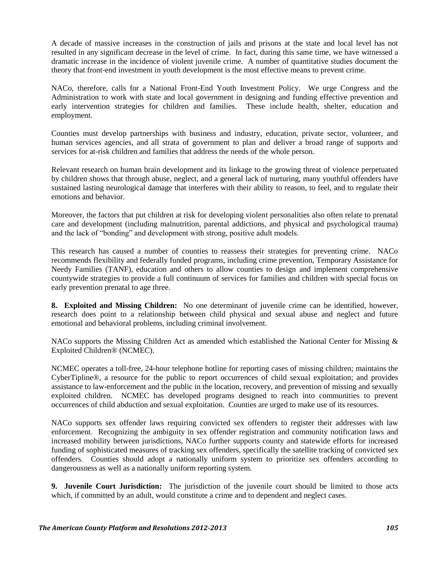A decade of massive increases in the construction of jails and prisons at the state and local level has not resulted in any significant decrease in the level of crime. In fact, during this same time, we have witnessed a dramatic increase in the incidence of violent juvenile crime. A number of quantitative studies document the theory that front-end investment in youth development is the most effective means to prevent crime.

NACo, therefore, calls for a National Front-End Youth Investment Policy. We urge Congress and the Administration to work with state and local government in designing and funding effective prevention and early intervention strategies for children and families. These include health, shelter, education and employment.

Counties must develop partnerships with business and industry, education, private sector, volunteer, and human services agencies, and all strata of government to plan and deliver a broad range of supports and services for at-risk children and families that address the needs of the whole person.

Relevant research on human brain development and its linkage to the growing threat of violence perpetuated by children shows that through abuse, neglect, and a general lack of nurturing, many youthful offenders have sustained lasting neurological damage that interferes with their ability to reason, to feel, and to regulate their emotions and behavior.

Moreover, the factors that put children at risk for developing violent personalities also often relate to prenatal care and development (including malnutrition, parental addictions, and physical and psychological trauma) and the lack of "bonding" and development with strong, positive adult models.

This research has caused a number of counties to reassess their strategies for preventing crime. NACo recommends flexibility and federally funded programs, including crime prevention, Temporary Assistance for Needy Families (TANF), education and others to allow counties to design and implement comprehensive countywide strategies to provide a full continuum of services for families and children with special focus on early prevention prenatal to age three.

**8. Exploited and Missing Children:** No one determinant of juvenile crime can be identified, however, research does point to a relationship between child physical and sexual abuse and neglect and future emotional and behavioral problems, including criminal involvement.

NACo supports the Missing Children Act as amended which established the National Center for Missing & Exploited Children® (NCMEC).

NCMEC operates a toll-free, 24-hour telephone hotline for reporting cases of missing children; maintains the CyberTipline®, a resource for the public to report occurrences of child sexual exploitation; and provides assistance to law-enforcement and the public in the location, recovery, and prevention of missing and sexually exploited children. NCMEC has developed programs designed to reach into communities to prevent occurrences of child abduction and sexual exploitation. Counties are urged to make use of its resources.

NACo supports sex offender laws requiring convicted sex offenders to register their addresses with law enforcement. Recognizing the ambiguity in sex offender registration and community notification laws and increased mobility between jurisdictions, NACo further supports county and statewide efforts for increased funding of sophisticated measures of tracking sex offenders, specifically the satellite tracking of convicted sex offenders. Counties should adopt a nationally uniform system to prioritize sex offenders according to dangerousness as well as a nationally uniform reporting system.

**9. Juvenile Court Jurisdiction:** The jurisdiction of the juvenile court should be limited to those acts which, if committed by an adult, would constitute a crime and to dependent and neglect cases.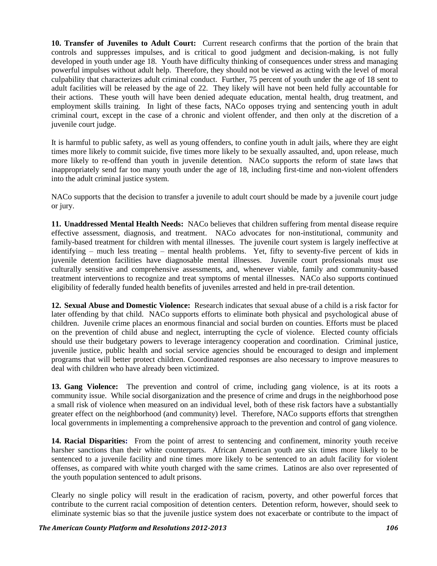**10. Transfer of Juveniles to Adult Court:** Current research confirms that the portion of the brain that controls and suppresses impulses, and is critical to good judgment and decision-making, is not fully developed in youth under age 18. Youth have difficulty thinking of consequences under stress and managing powerful impulses without adult help. Therefore, they should not be viewed as acting with the level of moral culpability that characterizes adult criminal conduct. Further, 75 percent of youth under the age of 18 sent to adult facilities will be released by the age of 22. They likely will have not been held fully accountable for their actions. These youth will have been denied adequate education, mental health, drug treatment, and employment skills training. In light of these facts, NACo opposes trying and sentencing youth in adult criminal court, except in the case of a chronic and violent offender, and then only at the discretion of a juvenile court judge.

It is harmful to public safety, as well as young offenders, to confine youth in adult jails, where they are eight times more likely to commit suicide, five times more likely to be sexually assaulted, and, upon release, much more likely to re-offend than youth in juvenile detention. NACo supports the reform of state laws that inappropriately send far too many youth under the age of 18, including first-time and non-violent offenders into the adult criminal justice system.

NACo supports that the decision to transfer a juvenile to adult court should be made by a juvenile court judge or jury.

**11. Unaddressed Mental Health Needs:** NACo believes that children suffering from mental disease require effective assessment, diagnosis, and treatment. NACo advocates for non-institutional, community and family-based treatment for children with mental illnesses. The juvenile court system is largely ineffective at identifying – much less treating – mental health problems. Yet, fifty to seventy-five percent of kids in juvenile detention facilities have diagnosable mental illnesses. Juvenile court professionals must use culturally sensitive and comprehensive assessments, and, whenever viable, family and community-based treatment interventions to recognize and treat symptoms of mental illnesses. NACo also supports continued eligibility of federally funded health benefits of juveniles arrested and held in pre-trail detention.

**12. Sexual Abuse and Domestic Violence:** Research indicates that sexual abuse of a child is a risk factor for later offending by that child. NACo supports efforts to eliminate both physical and psychological abuse of children. Juvenile crime places an enormous financial and social burden on counties. Efforts must be placed on the prevention of child abuse and neglect, interrupting the cycle of violence. Elected county officials should use their budgetary powers to leverage interagency cooperation and coordination. Criminal justice, juvenile justice, public health and social service agencies should be encouraged to design and implement programs that will better protect children. Coordinated responses are also necessary to improve measures to deal with children who have already been victimized.

**13. Gang Violence:** The prevention and control of crime, including gang violence, is at its roots a community issue. While social disorganization and the presence of crime and drugs in the neighborhood pose a small risk of violence when measured on an individual level, both of these risk factors have a substantially greater effect on the neighborhood (and community) level. Therefore, NACo supports efforts that strengthen local governments in implementing a comprehensive approach to the prevention and control of gang violence.

**14. Racial Disparities:** From the point of arrest to sentencing and confinement, minority youth receive harsher sanctions than their white counterparts. African American youth are six times more likely to be sentenced to a juvenile facility and nine times more likely to be sentenced to an adult facility for violent offenses, as compared with white youth charged with the same crimes. Latinos are also over represented of the youth population sentenced to adult prisons.

Clearly no single policy will result in the eradication of racism, poverty, and other powerful forces that contribute to the current racial composition of detention centers. Detention reform, however, should seek to eliminate systemic bias so that the juvenile justice system does not exacerbate or contribute to the impact of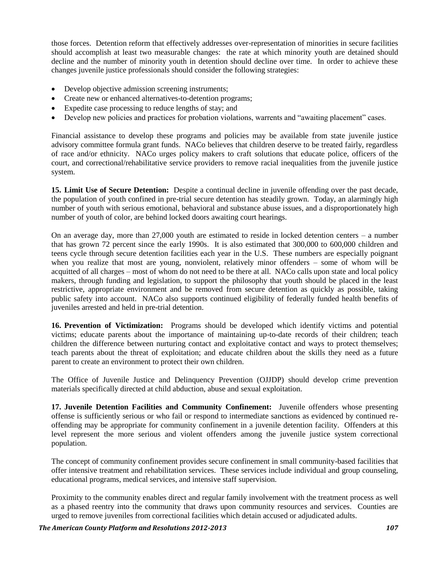those forces. Detention reform that effectively addresses over-representation of minorities in secure facilities should accomplish at least two measurable changes: the rate at which minority youth are detained should decline and the number of minority youth in detention should decline over time. In order to achieve these changes juvenile justice professionals should consider the following strategies:

- Develop objective admission screening instruments;
- Create new or enhanced alternatives-to-detention programs;
- Expedite case processing to reduce lengths of stay; and
- Develop new policies and practices for probation violations, warrents and "awaiting placement" cases.

Financial assistance to develop these programs and policies may be available from state juvenile justice advisory committee formula grant funds. NACo believes that children deserve to be treated fairly, regardless of race and/or ethnicity. NACo urges policy makers to craft solutions that educate police, officers of the court, and correctional/rehabilitative service providers to remove racial inequalities from the juvenile justice system.

**15. Limit Use of Secure Detention:** Despite a continual decline in juvenile offending over the past decade, the population of youth confined in pre-trial secure detention has steadily grown. Today, an alarmingly high number of youth with serious emotional, behavioral and substance abuse issues, and a disproportionately high number of youth of color, are behind locked doors awaiting court hearings.

On an average day, more than 27,000 youth are estimated to reside in locked detention centers – a number that has grown 72 percent since the early 1990s. It is also estimated that 300,000 to 600,000 children and teens cycle through secure detention facilities each year in the U.S. These numbers are especially poignant when you realize that most are young, nonviolent, relatively minor offenders – some of whom will be acquitted of all charges – most of whom do not need to be there at all. NACo calls upon state and local policy makers, through funding and legislation, to support the philosophy that youth should be placed in the least restrictive, appropriate environment and be removed from secure detention as quickly as possible, taking public safety into account. NACo also supports continued eligibility of federally funded health benefits of juveniles arrested and held in pre-trial detention.

**16. Prevention of Victimization:** Programs should be developed which identify victims and potential victims; educate parents about the importance of maintaining up-to-date records of their children; teach children the difference between nurturing contact and exploitative contact and ways to protect themselves; teach parents about the threat of exploitation; and educate children about the skills they need as a future parent to create an environment to protect their own children.

The Office of Juvenile Justice and Delinquency Prevention (OJJDP) should develop crime prevention materials specifically directed at child abduction, abuse and sexual exploitation.

**17. Juvenile Detention Facilities and Community Confinement:** Juvenile offenders whose presenting offense is sufficiently serious or who fail or respond to intermediate sanctions as evidenced by continued reoffending may be appropriate for community confinement in a juvenile detention facility. Offenders at this level represent the more serious and violent offenders among the juvenile justice system correctional population.

The concept of community confinement provides secure confinement in small community-based facilities that offer intensive treatment and rehabilitation services. These services include individual and group counseling, educational programs, medical services, and intensive staff supervision.

Proximity to the community enables direct and regular family involvement with the treatment process as well as a phased reentry into the community that draws upon community resources and services. Counties are urged to remove juveniles from correctional facilities which detain accused or adjudicated adults.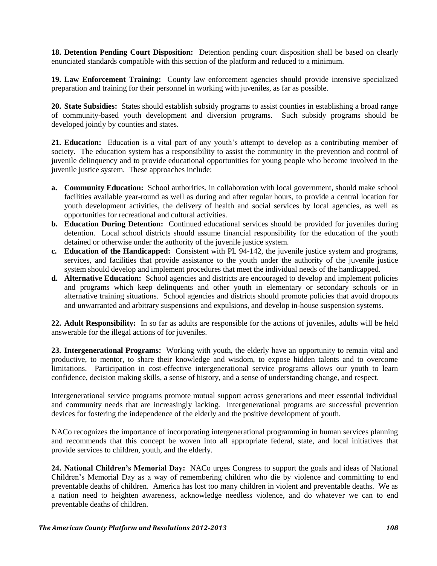**18. Detention Pending Court Disposition:** Detention pending court disposition shall be based on clearly enunciated standards compatible with this section of the platform and reduced to a minimum.

**19. Law Enforcement Training:** County law enforcement agencies should provide intensive specialized preparation and training for their personnel in working with juveniles, as far as possible.

**20. State Subsidies:** States should establish subsidy programs to assist counties in establishing a broad range of community-based youth development and diversion programs. Such subsidy programs should be developed jointly by counties and states.

**21. Education:** Education is a vital part of any youth's attempt to develop as a contributing member of society. The education system has a responsibility to assist the community in the prevention and control of juvenile delinquency and to provide educational opportunities for young people who become involved in the juvenile justice system. These approaches include:

- **a. Community Education:** School authorities, in collaboration with local government, should make school facilities available year-round as well as during and after regular hours, to provide a central location for youth development activities, the delivery of health and social services by local agencies, as well as opportunities for recreational and cultural activities.
- **b. Education During Detention:** Continued educational services should be provided for juveniles during detention. Local school districts should assume financial responsibility for the education of the youth detained or otherwise under the authority of the juvenile justice system.
- **c. Education of the Handicapped:** Consistent with PL 94-142, the juvenile justice system and programs, services, and facilities that provide assistance to the youth under the authority of the juvenile justice system should develop and implement procedures that meet the individual needs of the handicapped.
- **d. Alternative Education:** School agencies and districts are encouraged to develop and implement policies and programs which keep delinquents and other youth in elementary or secondary schools or in alternative training situations. School agencies and districts should promote policies that avoid dropouts and unwarranted and arbitrary suspensions and expulsions, and develop in-house suspension systems.

**22. Adult Responsibility:** In so far as adults are responsible for the actions of juveniles, adults will be held answerable for the illegal actions of for juveniles.

**23. Intergenerational Programs:** Working with youth, the elderly have an opportunity to remain vital and productive, to mentor, to share their knowledge and wisdom, to expose hidden talents and to overcome limitations. Participation in cost-effective intergenerational service programs allows our youth to learn confidence, decision making skills, a sense of history, and a sense of understanding change, and respect.

Intergenerational service programs promote mutual support across generations and meet essential individual and community needs that are increasingly lacking. Intergenerational programs are successful prevention devices for fostering the independence of the elderly and the positive development of youth.

NACo recognizes the importance of incorporating intergenerational programming in human services planning and recommends that this concept be woven into all appropriate federal, state, and local initiatives that provide services to children, youth, and the elderly.

**24. National Children's Memorial Day:** NACo urges Congress to support the goals and ideas of National Children"s Memorial Day as a way of remembering children who die by violence and committing to end preventable deaths of children. America has lost too many children in violent and preventable deaths. We as a nation need to heighten awareness, acknowledge needless violence, and do whatever we can to end preventable deaths of children.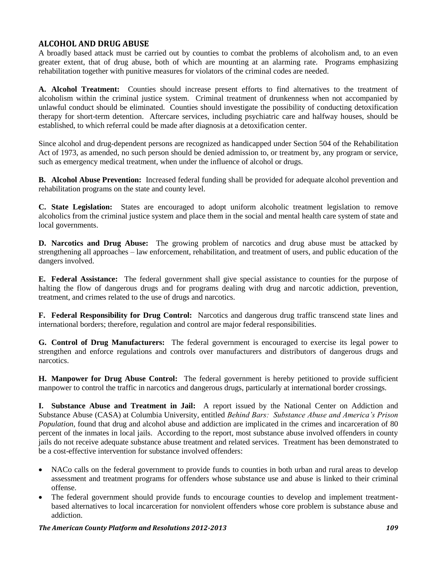# **ALCOHOL AND DRUG ABUSE**

A broadly based attack must be carried out by counties to combat the problems of alcoholism and, to an even greater extent, that of drug abuse, both of which are mounting at an alarming rate. Programs emphasizing rehabilitation together with punitive measures for violators of the criminal codes are needed.

**A. Alcohol Treatment:** Counties should increase present efforts to find alternatives to the treatment of alcoholism within the criminal justice system. Criminal treatment of drunkenness when not accompanied by unlawful conduct should be eliminated. Counties should investigate the possibility of conducting detoxification therapy for short-term detention. Aftercare services, including psychiatric care and halfway houses, should be established, to which referral could be made after diagnosis at a detoxification center.

Since alcohol and drug-dependent persons are recognized as handicapped under Section 504 of the Rehabilitation Act of 1973, as amended, no such person should be denied admission to, or treatment by, any program or service, such as emergency medical treatment, when under the influence of alcohol or drugs.

**B. Alcohol Abuse Prevention:** Increased federal funding shall be provided for adequate alcohol prevention and rehabilitation programs on the state and county level.

**C. State Legislation:** States are encouraged to adopt uniform alcoholic treatment legislation to remove alcoholics from the criminal justice system and place them in the social and mental health care system of state and local governments.

**D. Narcotics and Drug Abuse:** The growing problem of narcotics and drug abuse must be attacked by strengthening all approaches – law enforcement, rehabilitation, and treatment of users, and public education of the dangers involved.

**E. Federal Assistance:** The federal government shall give special assistance to counties for the purpose of halting the flow of dangerous drugs and for programs dealing with drug and narcotic addiction, prevention, treatment, and crimes related to the use of drugs and narcotics.

**F. Federal Responsibility for Drug Control:** Narcotics and dangerous drug traffic transcend state lines and international borders; therefore, regulation and control are major federal responsibilities.

**G. Control of Drug Manufacturers:** The federal government is encouraged to exercise its legal power to strengthen and enforce regulations and controls over manufacturers and distributors of dangerous drugs and narcotics.

**H. Manpower for Drug Abuse Control:** The federal government is hereby petitioned to provide sufficient manpower to control the traffic in narcotics and dangerous drugs, particularly at international border crossings.

**I. Substance Abuse and Treatment in Jail:** A report issued by the National Center on Addiction and Substance Abuse (CASA) at Columbia University, entitled *Behind Bars: Substance Abuse and America's Prison Population*, found that drug and alcohol abuse and addiction are implicated in the crimes and incarceration of 80 percent of the inmates in local jails. According to the report, most substance abuse involved offenders in county jails do not receive adequate substance abuse treatment and related services. Treatment has been demonstrated to be a cost-effective intervention for substance involved offenders:

- NACo calls on the federal government to provide funds to counties in both urban and rural areas to develop assessment and treatment programs for offenders whose substance use and abuse is linked to their criminal offense.
- The federal government should provide funds to encourage counties to develop and implement treatmentbased alternatives to local incarceration for nonviolent offenders whose core problem is substance abuse and addiction.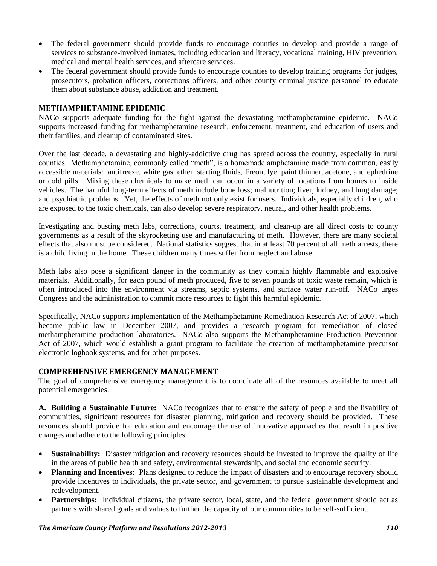- The federal government should provide funds to encourage counties to develop and provide a range of services to substance-involved inmates, including education and literacy, vocational training, HIV prevention, medical and mental health services, and aftercare services.
- The federal government should provide funds to encourage counties to develop training programs for judges, prosecutors, probation officers, corrections officers, and other county criminal justice personnel to educate them about substance abuse, addiction and treatment.

### **METHAMPHETAMINE EPIDEMIC**

NACo supports adequate funding for the fight against the devastating methamphetamine epidemic. NACo supports increased funding for methamphetamine research, enforcement, treatment, and education of users and their families, and cleanup of contaminated sites.

Over the last decade, a devastating and highly-addictive drug has spread across the country, especially in rural counties. Methamphetamine, commonly called "meth", is a homemade amphetamine made from common, easily accessible materials: antifreeze, white gas, ether, starting fluids, Freon, lye, paint thinner, acetone, and ephedrine or cold pills. Mixing these chemicals to make meth can occur in a variety of locations from homes to inside vehicles. The harmful long-term effects of meth include bone loss; malnutrition; liver, kidney, and lung damage; and psychiatric problems. Yet, the effects of meth not only exist for users. Individuals, especially children, who are exposed to the toxic chemicals, can also develop severe respiratory, neural, and other health problems.

Investigating and busting meth labs, corrections, courts, treatment, and clean-up are all direct costs to county governments as a result of the skyrocketing use and manufacturing of meth. However, there are many societal effects that also must be considered. National statistics suggest that in at least 70 percent of all meth arrests, there is a child living in the home. These children many times suffer from neglect and abuse.

Meth labs also pose a significant danger in the community as they contain highly flammable and explosive materials. Additionally, for each pound of meth produced, five to seven pounds of toxic waste remain, which is often introduced into the environment via streams, septic systems, and surface water run-off. NACo urges Congress and the administration to commit more resources to fight this harmful epidemic.

Specifically, NACo supports implementation of the Methamphetamine Remediation Research Act of 2007, which became public law in December 2007, and provides a research program for remediation of closed methamphetamine production laboratories. NACo also supports the Methamphetamine Production Prevention Act of 2007, which would establish a grant program to facilitate the creation of methamphetamine precursor electronic logbook systems, and for other purposes.

# **COMPREHENSIVE EMERGENCY MANAGEMENT**

The goal of comprehensive emergency management is to coordinate all of the resources available to meet all potential emergencies.

**A. Building a Sustainable Future:** NACo recognizes that to ensure the safety of people and the livability of communities, significant resources for disaster planning, mitigation and recovery should be provided. These resources should provide for education and encourage the use of innovative approaches that result in positive changes and adhere to the following principles:

- **Sustainability:** Disaster mitigation and recovery resources should be invested to improve the quality of life in the areas of public health and safety, environmental stewardship, and social and economic security.
- Planning and Incentives: Plans designed to reduce the impact of disasters and to encourage recovery should provide incentives to individuals, the private sector, and government to pursue sustainable development and redevelopment.
- **Partnerships:** Individual citizens, the private sector, local, state, and the federal government should act as partners with shared goals and values to further the capacity of our communities to be self-sufficient.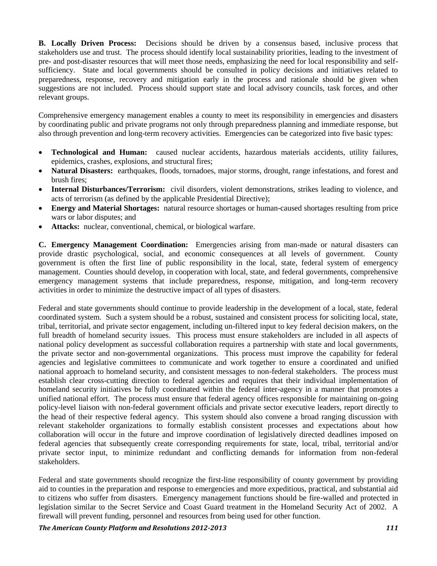**B. Locally Driven Process:** Decisions should be driven by a consensus based, inclusive process that stakeholders use and trust. The process should identify local sustainability priorities, leading to the investment of pre- and post-disaster resources that will meet those needs, emphasizing the need for local responsibility and selfsufficiency. State and local governments should be consulted in policy decisions and initiatives related to preparedness, response, recovery and mitigation early in the process and rationale should be given when suggestions are not included. Process should support state and local advisory councils, task forces, and other relevant groups.

Comprehensive emergency management enables a county to meet its responsibility in emergencies and disasters by coordinating public and private programs not only through preparedness planning and immediate response, but also through prevention and long-term recovery activities. Emergencies can be categorized into five basic types:

- **Technological and Human:** caused nuclear accidents, hazardous materials accidents, utility failures, epidemics, crashes, explosions, and structural fires;
- **Natural Disasters:** earthquakes, floods, tornadoes, major storms, drought, range infestations, and forest and brush fires;
- **Internal Disturbances/Terrorism:** civil disorders, violent demonstrations, strikes leading to violence, and acts of terrorism (as defined by the applicable Presidential Directive);
- **Energy and Material Shortages:** natural resource shortages or human-caused shortages resulting from price wars or labor disputes; and
- **Attacks:** nuclear, conventional, chemical, or biological warfare.

**C. Emergency Management Coordination:** Emergencies arising from man-made or natural disasters can provide drastic psychological, social, and economic consequences at all levels of government. County government is often the first line of public responsibility in the local, state, federal system of emergency management. Counties should develop, in cooperation with local, state, and federal governments, comprehensive emergency management systems that include preparedness, response, mitigation, and long-term recovery activities in order to minimize the destructive impact of all types of disasters.

Federal and state governments should continue to provide leadership in the development of a local, state, federal coordinated system. Such a system should be a robust, sustained and consistent process for soliciting local, state, tribal, territorial, and private sector engagement, including un-filtered input to key federal decision makers, on the full breadth of homeland security issues. This process must ensure stakeholders are included in all aspects of national policy development as successful collaboration requires a partnership with state and local governments, the private sector and non-governmental organizations. This process must improve the capability for federal agencies and legislative committees to communicate and work together to ensure a coordinated and unified national approach to homeland security, and consistent messages to non-federal stakeholders. The process must establish clear cross-cutting direction to federal agencies and requires that their individual implementation of homeland security initiatives be fully coordinated within the federal inter-agency in a manner that promotes a unified national effort. The process must ensure that federal agency offices responsible for maintaining on-going policy-level liaison with non-federal government officials and private sector executive leaders, report directly to the head of their respective federal agency. This system should also convene a broad ranging discussion with relevant stakeholder organizations to formally establish consistent processes and expectations about how collaboration will occur in the future and improve coordination of legislatively directed deadlines imposed on federal agencies that subsequently create corresponding requirements for state, local, tribal, territorial and/or private sector input, to minimize redundant and conflicting demands for information from non-federal stakeholders.

Federal and state governments should recognize the first-line responsibility of county government by providing aid to counties in the preparation and response to emergencies and more expeditious, practical, and substantial aid to citizens who suffer from disasters. Emergency management functions should be fire-walled and protected in legislation similar to the Secret Service and Coast Guard treatment in the Homeland Security Act of 2002. A firewall will prevent funding, personnel and resources from being used for other function.

*The American County Platform and Resolutions 2012-2013 111*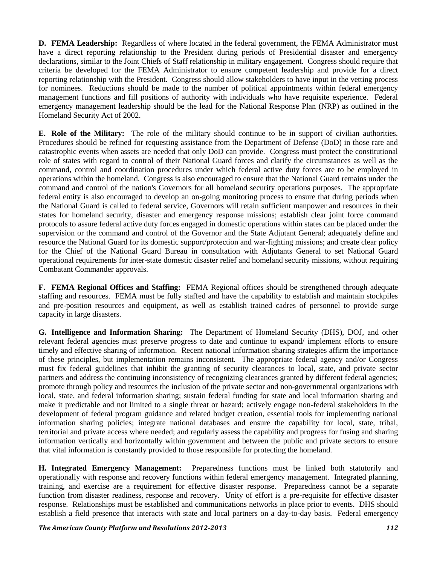**D. FEMA Leadership:** Regardless of where located in the federal government, the FEMA Administrator must have a direct reporting relationship to the President during periods of Presidential disaster and emergency declarations, similar to the Joint Chiefs of Staff relationship in military engagement. Congress should require that criteria be developed for the FEMA Administrator to ensure competent leadership and provide for a direct reporting relationship with the President. Congress should allow stakeholders to have input in the vetting process for nominees. Reductions should be made to the number of political appointments within federal emergency management functions and fill positions of authority with individuals who have requisite experience. Federal emergency management leadership should be the lead for the National Response Plan (NRP) as outlined in the Homeland Security Act of 2002.

**E. Role of the Military:** The role of the military should continue to be in support of civilian authorities. Procedures should be refined for requesting assistance from the Department of Defense (DoD) in those rare and catastrophic events when assets are needed that only DoD can provide. Congress must protect the constitutional role of states with regard to control of their National Guard forces and clarify the circumstances as well as the command, control and coordination procedures under which federal active duty forces are to be employed in operations within the homeland. Congress is also encouraged to ensure that the National Guard remains under the command and control of the nation's Governors for all homeland security operations purposes. The appropriate federal entity is also encouraged to develop an on-going monitoring process to ensure that during periods when the National Guard is called to federal service, Governors will retain sufficient manpower and resources in their states for homeland security, disaster and emergency response missions; establish clear joint force command protocols to assure federal active duty forces engaged in domestic operations within states can be placed under the supervision or the command and control of the Governor and the State Adjutant General; adequately define and resource the National Guard for its domestic support/protection and war-fighting missions; and create clear policy for the Chief of the National Guard Bureau in consultation with Adjutants General to set National Guard operational requirements for inter-state domestic disaster relief and homeland security missions, without requiring Combatant Commander approvals.

**F. FEMA Regional Offices and Staffing:** FEMA Regional offices should be strengthened through adequate staffing and resources. FEMA must be fully staffed and have the capability to establish and maintain stockpiles and pre-position resources and equipment, as well as establish trained cadres of personnel to provide surge capacity in large disasters.

**G. Intelligence and Information Sharing:** The Department of Homeland Security (DHS), DOJ, and other relevant federal agencies must preserve progress to date and continue to expand/ implement efforts to ensure timely and effective sharing of information. Recent national information sharing strategies affirm the importance of these principles, but implementation remains inconsistent. The appropriate federal agency and/or Congress must fix federal guidelines that inhibit the granting of security clearances to local, state, and private sector partners and address the continuing inconsistency of recognizing clearances granted by different federal agencies; promote through policy and resources the inclusion of the private sector and non-governmental organizations with local, state, and federal information sharing; sustain federal funding for state and local information sharing and make it predictable and not limited to a single threat or hazard; actively engage non-federal stakeholders in the development of federal program guidance and related budget creation, essential tools for implementing national information sharing policies; integrate national databases and ensure the capability for local, state, tribal, territorial and private access where needed; and regularly assess the capability and progress for fusing and sharing information vertically and horizontally within government and between the public and private sectors to ensure that vital information is constantly provided to those responsible for protecting the homeland.

**H. Integrated Emergency Management:** Preparedness functions must be linked both statutorily and operationally with response and recovery functions within federal emergency management. Integrated planning, training, and exercise are a requirement for effective disaster response. Preparedness cannot be a separate function from disaster readiness, response and recovery. Unity of effort is a pre-requisite for effective disaster response. Relationships must be established and communications networks in place prior to events. DHS should establish a field presence that interacts with state and local partners on a day-to-day basis. Federal emergency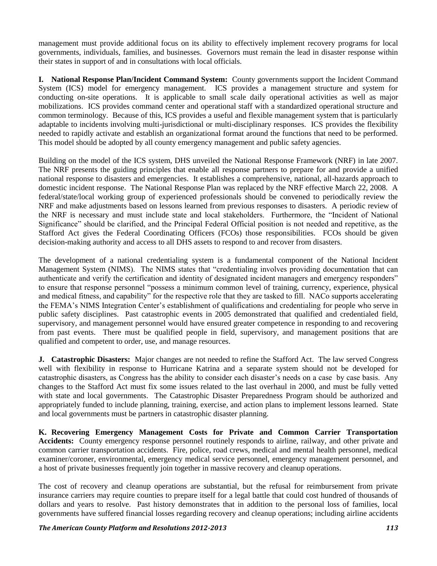management must provide additional focus on its ability to effectively implement recovery programs for local governments, individuals, families, and businesses. Governors must remain the lead in disaster response within their states in support of and in consultations with local officials.

**I. National Response Plan/Incident Command System:** County governments support the Incident Command System (ICS) model for emergency management. ICS provides a management structure and system for conducting on-site operations. It is applicable to small scale daily operational activities as well as major mobilizations. ICS provides command center and operational staff with a standardized operational structure and common terminology. Because of this, ICS provides a useful and flexible management system that is particularly adaptable to incidents involving multi-jurisdictional or multi-disciplinary responses. ICS provides the flexibility needed to rapidly activate and establish an organizational format around the functions that need to be performed. This model should be adopted by all county emergency management and public safety agencies.

Building on the model of the ICS system, DHS unveiled the National Response Framework (NRF) in late 2007. The NRF presents the guiding principles that enable all response partners to prepare for and provide a unified national response to disasters and emergencies. It establishes a comprehensive, national, all-hazards approach to domestic incident response. The National Response Plan was replaced by the NRF effective March 22, 2008. A federal/state/local working group of experienced professionals should be convened to periodically review the NRF and make adjustments based on lessons learned from previous responses to disasters. A periodic review of the NRF is necessary and must include state and local stakeholders. Furthermore, the "Incident of National Significance" should be clarified, and the Principal Federal Official position is not needed and repetitive, as the Stafford Act gives the Federal Coordinating Officers (FCOs) those responsibilities. FCOs should be given decision-making authority and access to all DHS assets to respond to and recover from disasters.

The development of a national credentialing system is a fundamental component of the National Incident Management System (NIMS). The NIMS states that "credentialing involves providing documentation that can authenticate and verify the certification and identity of designated incident managers and emergency responders" to ensure that response personnel "possess a minimum common level of training, currency, experience, physical and medical fitness, and capability" for the respective role that they are tasked to fill. NACo supports accelerating the FEMA"s NIMS Integration Center"s establishment of qualifications and credentialing for people who serve in public safety disciplines. Past catastrophic events in 2005 demonstrated that qualified and credentialed field, supervisory, and management personnel would have ensured greater competence in responding to and recovering from past events. There must be qualified people in field, supervisory, and management positions that are qualified and competent to order, use, and manage resources.

**J. Catastrophic Disasters:** Major changes are not needed to refine the Stafford Act. The law served Congress well with flexibility in response to Hurricane Katrina and a separate system should not be developed for catastrophic disasters, as Congress has the ability to consider each disaster"s needs on a case by case basis. Any changes to the Stafford Act must fix some issues related to the last overhaul in 2000, and must be fully vetted with state and local governments. The Catastrophic Disaster Preparedness Program should be authorized and appropriately funded to include planning, training, exercise, and action plans to implement lessons learned. State and local governments must be partners in catastrophic disaster planning.

**K. Recovering Emergency Management Costs for Private and Common Carrier Transportation Accidents:** County emergency response personnel routinely responds to airline, railway, and other private and common carrier transportation accidents. Fire, police, road crews, medical and mental health personnel, medical examiner/coroner, environmental, emergency medical service personnel, emergency management personnel, and a host of private businesses frequently join together in massive recovery and cleanup operations.

The cost of recovery and cleanup operations are substantial, but the refusal for reimbursement from private insurance carriers may require counties to prepare itself for a legal battle that could cost hundred of thousands of dollars and years to resolve. Past history demonstrates that in addition to the personal loss of families, local governments have suffered financial losses regarding recovery and cleanup operations; including airline accidents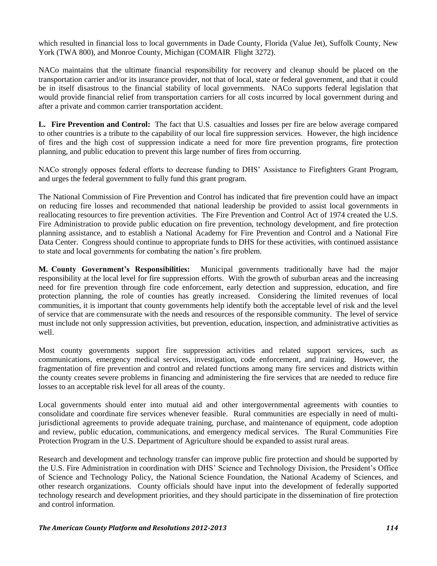which resulted in financial loss to local governments in Dade County, Florida (Value Jet), Suffolk County, New York (TWA 800), and Monroe County, Michigan (COMAIR Flight 3272).

NACo maintains that the ultimate financial responsibility for recovery and cleanup should be placed on the transportation carrier and/or its insurance provider, not that of local, state or federal government, and that it could be in itself disastrous to the financial stability of local governments. NACo supports federal legislation that would provide financial relief from transportation carriers for all costs incurred by local government during and after a private and common carrier transportation accident.

**L. Fire Prevention and Control:** The fact that U.S. casualties and losses per fire are below average compared to other countries is a tribute to the capability of our local fire suppression services. However, the high incidence of fires and the high cost of suppression indicate a need for more fire prevention programs, fire protection planning, and public education to prevent this large number of fires from occurring.

NACo strongly opposes federal efforts to decrease funding to DHS" Assistance to Firefighters Grant Program, and urges the federal government to fully fund this grant program.

The National Commission of Fire Prevention and Control has indicated that fire prevention could have an impact on reducing fire losses and recommended that national leadership be provided to assist local governments in reallocating resources to fire prevention activities. The Fire Prevention and Control Act of 1974 created the U.S. Fire Administration to provide public education on fire prevention, technology development, and fire protection planning assistance, and to establish a National Academy for Fire Prevention and Control and a National Fire Data Center. Congress should continue to appropriate funds to DHS for these activities, with continued assistance to state and local governments for combating the nation"s fire problem.

**M. County Government's Responsibilities:** Municipal governments traditionally have had the major responsibility at the local level for fire suppression efforts. With the growth of suburban areas and the increasing need for fire prevention through fire code enforcement, early detection and suppression, education, and fire protection planning, the role of counties has greatly increased. Considering the limited revenues of local communities, it is important that county governments help identify both the acceptable level of risk and the level of service that are commensurate with the needs and resources of the responsible community. The level of service must include not only suppression activities, but prevention, education, inspection, and administrative activities as well.

Most county governments support fire suppression activities and related support services, such as communications, emergency medical services, investigation, code enforcement, and training. However, the fragmentation of fire prevention and control and related functions among many fire services and districts within the county creates severe problems in financing and administering the fire services that are needed to reduce fire losses to an acceptable risk level for all areas of the county.

Local governments should enter into mutual aid and other intergovernmental agreements with counties to consolidate and coordinate fire services whenever feasible. Rural communities are especially in need of multijurisdictional agreements to provide adequate training, purchase, and maintenance of equipment, code adoption and review, public education, communications, and emergency medical services. The Rural Communities Fire Protection Program in the U.S. Department of Agriculture should be expanded to assist rural areas.

Research and development and technology transfer can improve public fire protection and should be supported by the U.S. Fire Administration in coordination with DHS" Science and Technology Division, the President"s Office of Science and Technology Policy, the National Science Foundation, the National Academy of Sciences, and other research organizations. County officials should have input into the development of federally supported technology research and development priorities, and they should participate in the dissemination of fire protection and control information.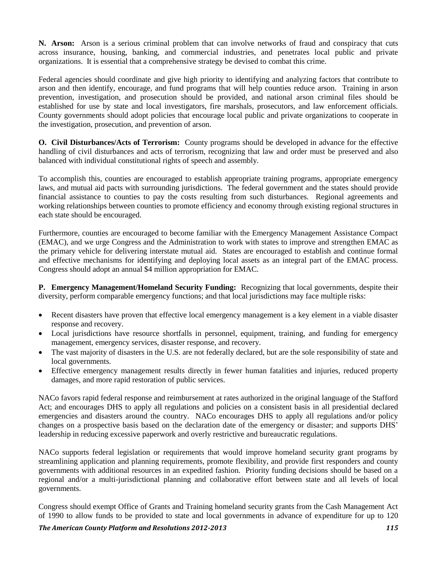**N. Arson:** Arson is a serious criminal problem that can involve networks of fraud and conspiracy that cuts across insurance, housing, banking, and commercial industries, and penetrates local public and private organizations. It is essential that a comprehensive strategy be devised to combat this crime.

Federal agencies should coordinate and give high priority to identifying and analyzing factors that contribute to arson and then identify, encourage, and fund programs that will help counties reduce arson. Training in arson prevention, investigation, and prosecution should be provided, and national arson criminal files should be established for use by state and local investigators, fire marshals, prosecutors, and law enforcement officials. County governments should adopt policies that encourage local public and private organizations to cooperate in the investigation, prosecution, and prevention of arson.

**O. Civil Disturbances/Acts of Terrorism:** County programs should be developed in advance for the effective handling of civil disturbances and acts of terrorism, recognizing that law and order must be preserved and also balanced with individual constitutional rights of speech and assembly.

To accomplish this, counties are encouraged to establish appropriate training programs, appropriate emergency laws, and mutual aid pacts with surrounding jurisdictions. The federal government and the states should provide financial assistance to counties to pay the costs resulting from such disturbances. Regional agreements and working relationships between counties to promote efficiency and economy through existing regional structures in each state should be encouraged.

Furthermore, counties are encouraged to become familiar with the Emergency Management Assistance Compact (EMAC), and we urge Congress and the Administration to work with states to improve and strengthen EMAC as the primary vehicle for delivering interstate mutual aid. States are encouraged to establish and continue formal and effective mechanisms for identifying and deploying local assets as an integral part of the EMAC process. Congress should adopt an annual \$4 million appropriation for EMAC.

**P. Emergency Management/Homeland Security Funding:** Recognizing that local governments, despite their diversity, perform comparable emergency functions; and that local jurisdictions may face multiple risks:

- Recent disasters have proven that effective local emergency management is a key element in a viable disaster response and recovery.
- Local jurisdictions have resource shortfalls in personnel, equipment, training, and funding for emergency management, emergency services, disaster response, and recovery.
- The vast majority of disasters in the U.S. are not federally declared, but are the sole responsibility of state and local governments.
- Effective emergency management results directly in fewer human fatalities and injuries, reduced property damages, and more rapid restoration of public services.

NACo favors rapid federal response and reimbursement at rates authorized in the original language of the Stafford Act; and encourages DHS to apply all regulations and policies on a consistent basis in all presidential declared emergencies and disasters around the country. NACo encourages DHS to apply all regulations and/or policy changes on a prospective basis based on the declaration date of the emergency or disaster; and supports DHS" leadership in reducing excessive paperwork and overly restrictive and bureaucratic regulations.

NACo supports federal legislation or requirements that would improve homeland security grant programs by streamlining application and planning requirements, promote flexibility, and provide first responders and county governments with additional resources in an expedited fashion. Priority funding decisions should be based on a regional and/or a multi-jurisdictional planning and collaborative effort between state and all levels of local governments.

Congress should exempt Office of Grants and Training homeland security grants from the Cash Management Act of 1990 to allow funds to be provided to state and local governments in advance of expenditure for up to 120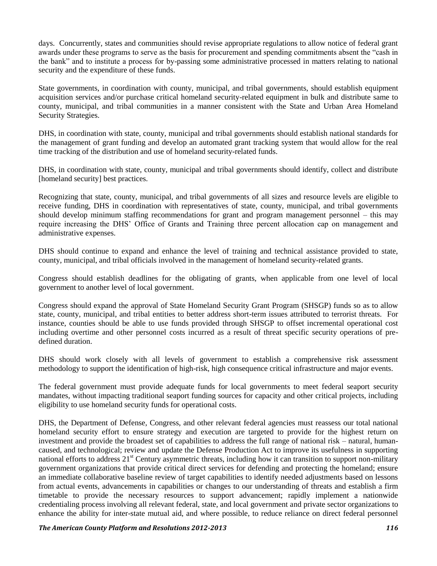days. Concurrently, states and communities should revise appropriate regulations to allow notice of federal grant awards under these programs to serve as the basis for procurement and spending commitments absent the "cash in the bank" and to institute a process for by-passing some administrative processed in matters relating to national security and the expenditure of these funds.

State governments, in coordination with county, municipal, and tribal governments, should establish equipment acquisition services and/or purchase critical homeland security-related equipment in bulk and distribute same to county, municipal, and tribal communities in a manner consistent with the State and Urban Area Homeland Security Strategies.

DHS, in coordination with state, county, municipal and tribal governments should establish national standards for the management of grant funding and develop an automated grant tracking system that would allow for the real time tracking of the distribution and use of homeland security-related funds.

DHS, in coordination with state, county, municipal and tribal governments should identify, collect and distribute [homeland security] best practices.

Recognizing that state, county, municipal, and tribal governments of all sizes and resource levels are eligible to receive funding, DHS in coordination with representatives of state, county, municipal, and tribal governments should develop minimum staffing recommendations for grant and program management personnel – this may require increasing the DHS" Office of Grants and Training three percent allocation cap on management and administrative expenses.

DHS should continue to expand and enhance the level of training and technical assistance provided to state, county, municipal, and tribal officials involved in the management of homeland security-related grants.

Congress should establish deadlines for the obligating of grants, when applicable from one level of local government to another level of local government.

Congress should expand the approval of State Homeland Security Grant Program (SHSGP) funds so as to allow state, county, municipal, and tribal entities to better address short-term issues attributed to terrorist threats. For instance, counties should be able to use funds provided through SHSGP to offset incremental operational cost including overtime and other personnel costs incurred as a result of threat specific security operations of predefined duration.

DHS should work closely with all levels of government to establish a comprehensive risk assessment methodology to support the identification of high-risk, high consequence critical infrastructure and major events.

The federal government must provide adequate funds for local governments to meet federal seaport security mandates, without impacting traditional seaport funding sources for capacity and other critical projects, including eligibility to use homeland security funds for operational costs.

DHS, the Department of Defense, Congress, and other relevant federal agencies must reassess our total national homeland security effort to ensure strategy and execution are targeted to provide for the highest return on investment and provide the broadest set of capabilities to address the full range of national risk – natural, humancaused, and technological; review and update the Defense Production Act to improve its usefulness in supporting national efforts to address  $21<sup>st</sup>$  Century asymmetric threats, including how it can transition to support non-military government organizations that provide critical direct services for defending and protecting the homeland; ensure an immediate collaborative baseline review of target capabilities to identify needed adjustments based on lessons from actual events, advancements in capabilities or changes to our understanding of threats and establish a firm timetable to provide the necessary resources to support advancement; rapidly implement a nationwide credentialing process involving all relevant federal, state, and local government and private sector organizations to enhance the ability for inter-state mutual aid, and where possible, to reduce reliance on direct federal personnel

*The American County Platform and Resolutions 2012-2013 116*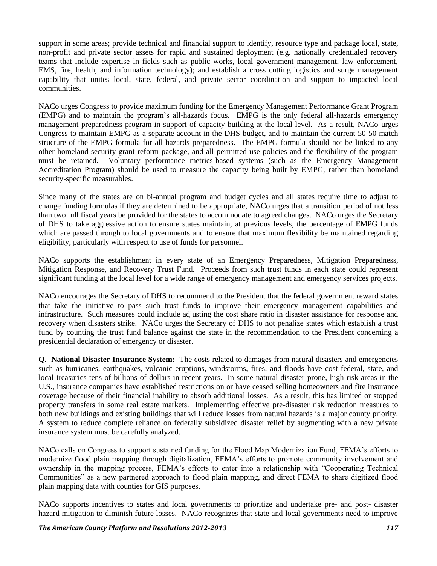support in some areas; provide technical and financial support to identify, resource type and package local, state, non-profit and private sector assets for rapid and sustained deployment (e.g. nationally credentialed recovery teams that include expertise in fields such as public works, local government management, law enforcement, EMS, fire, health, and information technology); and establish a cross cutting logistics and surge management capability that unites local, state, federal, and private sector coordination and support to impacted local communities.

NACo urges Congress to provide maximum funding for the Emergency Management Performance Grant Program (EMPG) and to maintain the program"s all-hazards focus. EMPG is the only federal all-hazards emergency management preparedness program in support of capacity building at the local level. As a result, NACo urges Congress to maintain EMPG as a separate account in the DHS budget, and to maintain the current 50-50 match structure of the EMPG formula for all-hazards preparedness. The EMPG formula should not be linked to any other homeland security grant reform package, and all permitted use policies and the flexibility of the program must be retained. Voluntary performance metrics-based systems (such as the Emergency Management Accreditation Program) should be used to measure the capacity being built by EMPG, rather than homeland security-specific measurables.

Since many of the states are on bi-annual program and budget cycles and all states require time to adjust to change funding formulas if they are determined to be appropriate, NACo urges that a transition period of not less than two full fiscal years be provided for the states to accommodate to agreed changes. NACo urges the Secretary of DHS to take aggressive action to ensure states maintain, at previous levels, the percentage of EMPG funds which are passed through to local governments and to ensure that maximum flexibility be maintained regarding eligibility, particularly with respect to use of funds for personnel.

NACo supports the establishment in every state of an Emergency Preparedness, Mitigation Preparedness, Mitigation Response, and Recovery Trust Fund. Proceeds from such trust funds in each state could represent significant funding at the local level for a wide range of emergency management and emergency services projects.

NACo encourages the Secretary of DHS to recommend to the President that the federal government reward states that take the initiative to pass such trust funds to improve their emergency management capabilities and infrastructure. Such measures could include adjusting the cost share ratio in disaster assistance for response and recovery when disasters strike. NACo urges the Secretary of DHS to not penalize states which establish a trust fund by counting the trust fund balance against the state in the recommendation to the President concerning a presidential declaration of emergency or disaster.

**Q. National Disaster Insurance System:** The costs related to damages from natural disasters and emergencies such as hurricanes, earthquakes, volcanic eruptions, windstorms, fires, and floods have cost federal, state, and local treasuries tens of billions of dollars in recent years. In some natural disaster-prone, high risk areas in the U.S., insurance companies have established restrictions on or have ceased selling homeowners and fire insurance coverage because of their financial inability to absorb additional losses. As a result, this has limited or stopped property transfers in some real estate markets. Implementing effective pre-disaster risk reduction measures to both new buildings and existing buildings that will reduce losses from natural hazards is a major county priority. A system to reduce complete reliance on federally subsidized disaster relief by augmenting with a new private insurance system must be carefully analyzed.

NACo calls on Congress to support sustained funding for the Flood Map Modernization Fund, FEMA"s efforts to modernize flood plain mapping through digitalization, FEMA"s efforts to promote community involvement and ownership in the mapping process, FEMA"s efforts to enter into a relationship with "Cooperating Technical Communities" as a new partnered approach to flood plain mapping, and direct FEMA to share digitized flood plain mapping data with counties for GIS purposes.

NACo supports incentives to states and local governments to prioritize and undertake pre- and post- disaster hazard mitigation to diminish future losses. NACo recognizes that state and local governments need to improve

### *The American County Platform and Resolutions 2012-2013 117*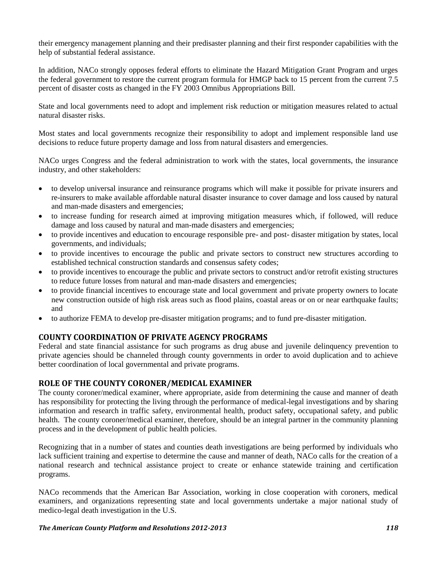their emergency management planning and their predisaster planning and their first responder capabilities with the help of substantial federal assistance.

In addition, NACo strongly opposes federal efforts to eliminate the Hazard Mitigation Grant Program and urges the federal government to restore the current program formula for HMGP back to 15 percent from the current 7.5 percent of disaster costs as changed in the FY 2003 Omnibus Appropriations Bill.

State and local governments need to adopt and implement risk reduction or mitigation measures related to actual natural disaster risks.

Most states and local governments recognize their responsibility to adopt and implement responsible land use decisions to reduce future property damage and loss from natural disasters and emergencies.

NACo urges Congress and the federal administration to work with the states, local governments, the insurance industry, and other stakeholders:

- to develop universal insurance and reinsurance programs which will make it possible for private insurers and re-insurers to make available affordable natural disaster insurance to cover damage and loss caused by natural and man-made disasters and emergencies;
- to increase funding for research aimed at improving mitigation measures which, if followed, will reduce damage and loss caused by natural and man-made disasters and emergencies;
- to provide incentives and education to encourage responsible pre- and post- disaster mitigation by states, local governments, and individuals;
- to provide incentives to encourage the public and private sectors to construct new structures according to established technical construction standards and consensus safety codes;
- to provide incentives to encourage the public and private sectors to construct and/or retrofit existing structures to reduce future losses from natural and man-made disasters and emergencies;
- to provide financial incentives to encourage state and local government and private property owners to locate new construction outside of high risk areas such as flood plains, coastal areas or on or near earthquake faults; and
- to authorize FEMA to develop pre-disaster mitigation programs; and to fund pre-disaster mitigation.

# **COUNTY COORDINATION OF PRIVATE AGENCY PROGRAMS**

Federal and state financial assistance for such programs as drug abuse and juvenile delinquency prevention to private agencies should be channeled through county governments in order to avoid duplication and to achieve better coordination of local governmental and private programs.

# **ROLE OF THE COUNTY CORONER/MEDICAL EXAMINER**

The county coroner/medical examiner, where appropriate, aside from determining the cause and manner of death has responsibility for protecting the living through the performance of medical-legal investigations and by sharing information and research in traffic safety, environmental health, product safety, occupational safety, and public health. The county coroner/medical examiner, therefore, should be an integral partner in the community planning process and in the development of public health policies.

Recognizing that in a number of states and counties death investigations are being performed by individuals who lack sufficient training and expertise to determine the cause and manner of death, NACo calls for the creation of a national research and technical assistance project to create or enhance statewide training and certification programs.

NACo recommends that the American Bar Association, working in close cooperation with coroners, medical examiners, and organizations representing state and local governments undertake a major national study of medico-legal death investigation in the U.S.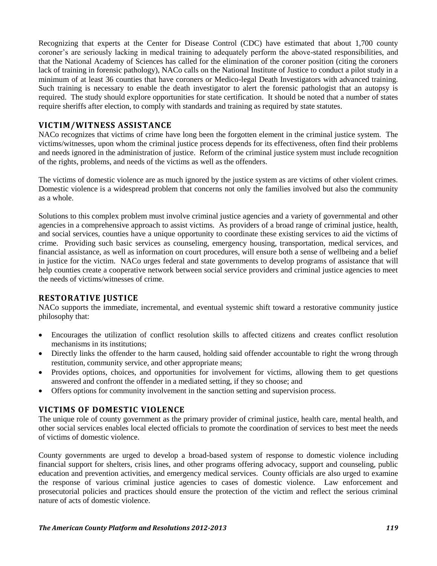Recognizing that experts at the Center for Disease Control (CDC) have estimated that about 1,700 county coroner"s are seriously lacking in medical training to adequately perform the above-stated responsibilities, and that the National Academy of Sciences has called for the elimination of the coroner position (citing the coroners lack of training in forensic pathology), NACo calls on the National Institute of Justice to conduct a pilot study in a minimum of at least 36 counties that have coroners or Medico-legal Death Investigators with advanced training. Such training is necessary to enable the death investigator to alert the forensic pathologist that an autopsy is required. The study should explore opportunities for state certification. It should be noted that a number of states require sheriffs after election, to comply with standards and training as required by state statutes.

# **VICTIM/WITNESS ASSISTANCE**

NACo recognizes that victims of crime have long been the forgotten element in the criminal justice system. The victims/witnesses, upon whom the criminal justice process depends for its effectiveness, often find their problems and needs ignored in the administration of justice. Reform of the criminal justice system must include recognition of the rights, problems, and needs of the victims as well as the offenders.

The victims of domestic violence are as much ignored by the justice system as are victims of other violent crimes. Domestic violence is a widespread problem that concerns not only the families involved but also the community as a whole.

Solutions to this complex problem must involve criminal justice agencies and a variety of governmental and other agencies in a comprehensive approach to assist victims. As providers of a broad range of criminal justice, health, and social services, counties have a unique opportunity to coordinate these existing services to aid the victims of crime. Providing such basic services as counseling, emergency housing, transportation, medical services, and financial assistance, as well as information on court procedures, will ensure both a sense of wellbeing and a belief in justice for the victim. NACo urges federal and state governments to develop programs of assistance that will help counties create a cooperative network between social service providers and criminal justice agencies to meet the needs of victims/witnesses of crime.

# **RESTORATIVE JUSTICE**

NACo supports the immediate, incremental, and eventual systemic shift toward a restorative community justice philosophy that:

- Encourages the utilization of conflict resolution skills to affected citizens and creates conflict resolution mechanisms in its institutions;
- Directly links the offender to the harm caused, holding said offender accountable to right the wrong through restitution, community service, and other appropriate means;
- Provides options, choices, and opportunities for involvement for victims, allowing them to get questions answered and confront the offender in a mediated setting, if they so choose; and
- Offers options for community involvement in the sanction setting and supervision process.

# **VICTIMS OF DOMESTIC VIOLENCE**

The unique role of county government as the primary provider of criminal justice, health care, mental health, and other social services enables local elected officials to promote the coordination of services to best meet the needs of victims of domestic violence.

County governments are urged to develop a broad-based system of response to domestic violence including financial support for shelters, crisis lines, and other programs offering advocacy, support and counseling, public education and prevention activities, and emergency medical services. County officials are also urged to examine the response of various criminal justice agencies to cases of domestic violence. Law enforcement and prosecutorial policies and practices should ensure the protection of the victim and reflect the serious criminal nature of acts of domestic violence.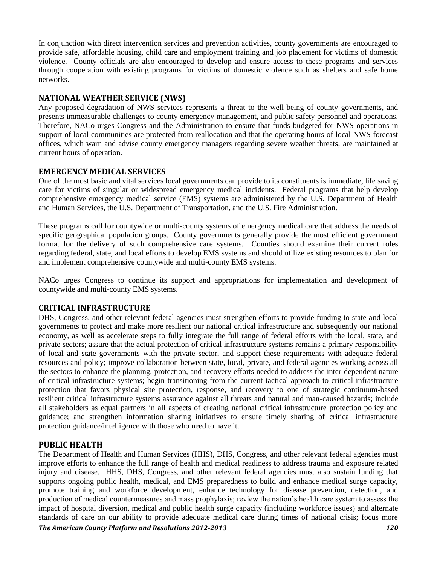In conjunction with direct intervention services and prevention activities, county governments are encouraged to provide safe, affordable housing, child care and employment training and job placement for victims of domestic violence. County officials are also encouraged to develop and ensure access to these programs and services through cooperation with existing programs for victims of domestic violence such as shelters and safe home networks.

# **NATIONAL WEATHER SERVICE (NWS)**

Any proposed degradation of NWS services represents a threat to the well-being of county governments, and presents immeasurable challenges to county emergency management, and public safety personnel and operations. Therefore, NACo urges Congress and the Administration to ensure that funds budgeted for NWS operations in support of local communities are protected from reallocation and that the operating hours of local NWS forecast offices, which warn and advise county emergency managers regarding severe weather threats, are maintained at current hours of operation.

# **EMERGENCY MEDICAL SERVICES**

One of the most basic and vital services local governments can provide to its constituents is immediate, life saving care for victims of singular or widespread emergency medical incidents. Federal programs that help develop comprehensive emergency medical service (EMS) systems are administered by the U.S. Department of Health and Human Services, the U.S. Department of Transportation, and the U.S. Fire Administration.

These programs call for countywide or multi-county systems of emergency medical care that address the needs of specific geographical population groups. County governments generally provide the most efficient government format for the delivery of such comprehensive care systems. Counties should examine their current roles regarding federal, state, and local efforts to develop EMS systems and should utilize existing resources to plan for and implement comprehensive countywide and multi-county EMS systems.

NACo urges Congress to continue its support and appropriations for implementation and development of countywide and multi-county EMS systems.

# **CRITICAL INFRASTRUCTURE**

DHS, Congress, and other relevant federal agencies must strengthen efforts to provide funding to state and local governments to protect and make more resilient our national critical infrastructure and subsequently our national economy, as well as accelerate steps to fully integrate the full range of federal efforts with the local, state, and private sectors; assure that the actual protection of critical infrastructure systems remains a primary responsibility of local and state governments with the private sector, and support these requirements with adequate federal resources and policy; improve collaboration between state, local, private, and federal agencies working across all the sectors to enhance the planning, protection, and recovery efforts needed to address the inter-dependent nature of critical infrastructure systems; begin transitioning from the current tactical approach to critical infrastructure protection that favors physical site protection, response, and recovery to one of strategic continuum-based resilient critical infrastructure systems assurance against all threats and natural and man-caused hazards; include all stakeholders as equal partners in all aspects of creating national critical infrastructure protection policy and guidance; and strengthen information sharing initiatives to ensure timely sharing of critical infrastructure protection guidance/intelligence with those who need to have it.

# **PUBLIC HEALTH**

The Department of Health and Human Services (HHS), DHS, Congress, and other relevant federal agencies must improve efforts to enhance the full range of health and medical readiness to address trauma and exposure related injury and disease. HHS, DHS, Congress, and other relevant federal agencies must also sustain funding that supports ongoing public health, medical, and EMS preparedness to build and enhance medical surge capacity, promote training and workforce development, enhance technology for disease prevention, detection, and production of medical countermeasures and mass prophylaxis; review the nation"s health care system to assess the impact of hospital diversion, medical and public health surge capacity (including workforce issues) and alternate standards of care on our ability to provide adequate medical care during times of national crisis; focus more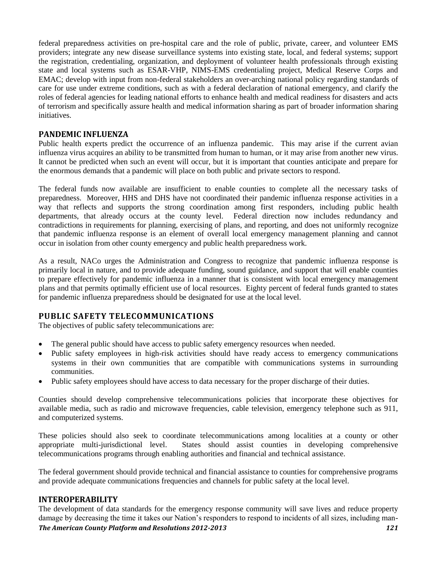federal preparedness activities on pre-hospital care and the role of public, private, career, and volunteer EMS providers; integrate any new disease surveillance systems into existing state, local, and federal systems; support the registration, credentialing, organization, and deployment of volunteer health professionals through existing state and local systems such as ESAR-VHP, NIMS-EMS credentialing project, Medical Reserve Corps and EMAC; develop with input from non-federal stakeholders an over-arching national policy regarding standards of care for use under extreme conditions, such as with a federal declaration of national emergency, and clarify the roles of federal agencies for leading national efforts to enhance health and medical readiness for disasters and acts of terrorism and specifically assure health and medical information sharing as part of broader information sharing initiatives.

# **PANDEMIC INFLUENZA**

Public health experts predict the occurrence of an influenza pandemic. This may arise if the current avian influenza virus acquires an ability to be transmitted from human to human, or it may arise from another new virus. It cannot be predicted when such an event will occur, but it is important that counties anticipate and prepare for the enormous demands that a pandemic will place on both public and private sectors to respond.

The federal funds now available are insufficient to enable counties to complete all the necessary tasks of preparedness. Moreover, HHS and DHS have not coordinated their pandemic influenza response activities in a way that reflects and supports the strong coordination among first responders, including public health departments, that already occurs at the county level. Federal direction now includes redundancy and contradictions in requirements for planning, exercising of plans, and reporting, and does not uniformly recognize that pandemic influenza response is an element of overall local emergency management planning and cannot occur in isolation from other county emergency and public health preparedness work.

As a result, NACo urges the Administration and Congress to recognize that pandemic influenza response is primarily local in nature, and to provide adequate funding, sound guidance, and support that will enable counties to prepare effectively for pandemic influenza in a manner that is consistent with local emergency management plans and that permits optimally efficient use of local resources. Eighty percent of federal funds granted to states for pandemic influenza preparedness should be designated for use at the local level.

# **PUBLIC SAFETY TELECOMMUNICATIONS**

The objectives of public safety telecommunications are:

- The general public should have access to public safety emergency resources when needed.
- Public safety employees in high-risk activities should have ready access to emergency communications systems in their own communities that are compatible with communications systems in surrounding communities.
- Public safety employees should have access to data necessary for the proper discharge of their duties.

Counties should develop comprehensive telecommunications policies that incorporate these objectives for available media, such as radio and microwave frequencies, cable television, emergency telephone such as 911, and computerized systems.

These policies should also seek to coordinate telecommunications among localities at a county or other appropriate multi-jurisdictional level. States should assist counties in developing comprehensive telecommunications programs through enabling authorities and financial and technical assistance.

The federal government should provide technical and financial assistance to counties for comprehensive programs and provide adequate communications frequencies and channels for public safety at the local level.

# **INTEROPERABILITY**

*The American County Platform and Resolutions 2012-2013 121* The development of data standards for the emergency response community will save lives and reduce property damage by decreasing the time it takes our Nation's responders to respond to incidents of all sizes, including man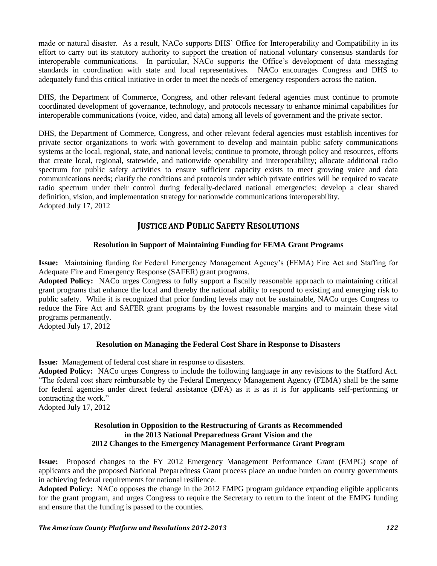made or natural disaster. As a result, NACo supports DHS" Office for Interoperability and Compatibility in its effort to carry out its statutory authority to support the creation of national voluntary consensus standards for interoperable communications. In particular, NACo supports the Office"s development of data messaging standards in coordination with state and local representatives. NACo encourages Congress and DHS to adequately fund this critical initiative in order to meet the needs of emergency responders across the nation.

DHS, the Department of Commerce, Congress, and other relevant federal agencies must continue to promote coordinated development of governance, technology, and protocols necessary to enhance minimal capabilities for interoperable communications (voice, video, and data) among all levels of government and the private sector.

DHS, the Department of Commerce, Congress, and other relevant federal agencies must establish incentives for private sector organizations to work with government to develop and maintain public safety communications systems at the local, regional, state, and national levels; continue to promote, through policy and resources, efforts that create local, regional, statewide, and nationwide operability and interoperability; allocate additional radio spectrum for public safety activities to ensure sufficient capacity exists to meet growing voice and data communications needs; clarify the conditions and protocols under which private entities will be required to vacate radio spectrum under their control during federally-declared national emergencies; develop a clear shared definition, vision, and implementation strategy for nationwide communications interoperability. Adopted July 17, 2012

# **JUSTICE AND PUBLIC SAFETY RESOLUTIONS**

### **Resolution in Support of Maintaining Funding for FEMA Grant Programs**

**Issue:** Maintaining funding for Federal Emergency Management Agency"s (FEMA) Fire Act and Staffing for Adequate Fire and Emergency Response (SAFER) grant programs.

**Adopted Policy:** NACo urges Congress to fully support a fiscally reasonable approach to maintaining critical grant programs that enhance the local and thereby the national ability to respond to existing and emerging risk to public safety. While it is recognized that prior funding levels may not be sustainable, NACo urges Congress to reduce the Fire Act and SAFER grant programs by the lowest reasonable margins and to maintain these vital programs permanently.

Adopted July 17, 2012

### **Resolution on Managing the Federal Cost Share in Response to Disasters**

**Issue:** Management of federal cost share in response to disasters.

**Adopted Policy:** NACo urges Congress to include the following language in any revisions to the Stafford Act. "The federal cost share reimbursable by the Federal Emergency Management Agency (FEMA) shall be the same for federal agencies under direct federal assistance (DFA) as it is as it is for applicants self-performing or contracting the work."

Adopted July 17, 2012

### **Resolution in Opposition to the Restructuring of Grants as Recommended in the 2013 National Preparedness Grant Vision and the 2012 Changes to the Emergency Management Performance Grant Program**

**Issue:** Proposed changes to the FY 2012 Emergency Management Performance Grant (EMPG) scope of applicants and the proposed National Preparedness Grant process place an undue burden on county governments in achieving federal requirements for national resilience.

**Adopted Policy:** NACo opposes the change in the 2012 EMPG program guidance expanding eligible applicants for the grant program, and urges Congress to require the Secretary to return to the intent of the EMPG funding and ensure that the funding is passed to the counties.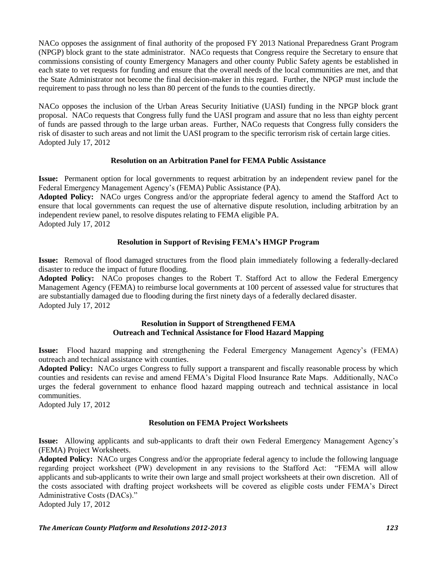NACo opposes the assignment of final authority of the proposed FY 2013 National Preparedness Grant Program (NPGP) block grant to the state administrator. NACo requests that Congress require the Secretary to ensure that commissions consisting of county Emergency Managers and other county Public Safety agents be established in each state to vet requests for funding and ensure that the overall needs of the local communities are met, and that the State Administrator not become the final decision-maker in this regard. Further, the NPGP must include the requirement to pass through no less than 80 percent of the funds to the counties directly.

NACo opposes the inclusion of the Urban Areas Security Initiative (UASI) funding in the NPGP block grant proposal. NACo requests that Congress fully fund the UASI program and assure that no less than eighty percent of funds are passed through to the large urban areas. Further, NACo requests that Congress fully considers the risk of disaster to such areas and not limit the UASI program to the specific terrorism risk of certain large cities. Adopted July 17, 2012

### **Resolution on an Arbitration Panel for FEMA Public Assistance**

**Issue:** Permanent option for local governments to request arbitration by an independent review panel for the Federal Emergency Management Agency"s (FEMA) Public Assistance (PA).

**Adopted Policy:** NACo urges Congress and/or the appropriate federal agency to amend the Stafford Act to ensure that local governments can request the use of alternative dispute resolution, including arbitration by an independent review panel, to resolve disputes relating to FEMA eligible PA. Adopted July 17, 2012

### **Resolution in Support of Revising FEMA's HMGP Program**

**Issue:** Removal of flood damaged structures from the flood plain immediately following a federally-declared disaster to reduce the impact of future flooding.

**Adopted Policy:** NACo proposes changes to the Robert T. Stafford Act to allow the Federal Emergency Management Agency (FEMA) to reimburse local governments at 100 percent of assessed value for structures that are substantially damaged due to flooding during the first ninety days of a federally declared disaster. Adopted July 17, 2012

### **Resolution in Support of Strengthened FEMA Outreach and Technical Assistance for Flood Hazard Mapping**

**Issue:** Flood hazard mapping and strengthening the Federal Emergency Management Agency"s (FEMA) outreach and technical assistance with counties.

**Adopted Policy:** NACo urges Congress to fully support a transparent and fiscally reasonable process by which counties and residents can revise and amend FEMA"s Digital Flood Insurance Rate Maps. Additionally, NACo urges the federal government to enhance flood hazard mapping outreach and technical assistance in local communities.

Adopted July 17, 2012

### **Resolution on FEMA Project Worksheets**

**Issue:** Allowing applicants and sub-applicants to draft their own Federal Emergency Management Agency"s (FEMA) Project Worksheets.

**Adopted Policy:** NACo urges Congress and/or the appropriate federal agency to include the following language regarding project worksheet (PW) development in any revisions to the Stafford Act: "FEMA will allow applicants and sub-applicants to write their own large and small project worksheets at their own discretion. All of the costs associated with drafting project worksheets will be covered as eligible costs under FEMA"s Direct Administrative Costs (DACs)."

Adopted July 17, 2012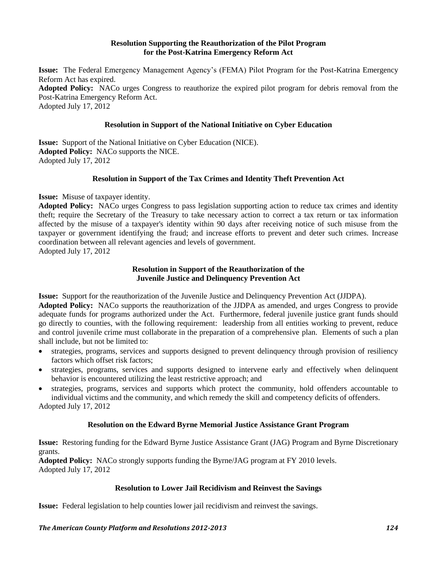#### **Resolution Supporting the Reauthorization of the Pilot Program for the Post-Katrina Emergency Reform Act**

**Issue:** The Federal Emergency Management Agency"s (FEMA) Pilot Program for the Post-Katrina Emergency Reform Act has expired. **Adopted Policy:** NACo urges Congress to reauthorize the expired pilot program for debris removal from the Post-Katrina Emergency Reform Act. Adopted July 17, 2012

### **Resolution in Support of the National Initiative on Cyber Education**

**Issue:** Support of the National Initiative on Cyber Education (NICE). **Adopted Policy:** NACo supports the NICE. Adopted July 17, 2012

### **Resolution in Support of the Tax Crimes and Identity Theft Prevention Act**

**Issue:** Misuse of taxpayer identity.

**Adopted Policy:** NACo urges Congress to pass legislation supporting action to reduce tax crimes and identity theft; require the Secretary of the Treasury to take necessary action to correct a tax return or tax information affected by the misuse of a taxpayer's identity within 90 days after receiving notice of such misuse from the taxpayer or government identifying the fraud; and increase efforts to prevent and deter such crimes. Increase coordination between all relevant agencies and levels of government. Adopted July 17, 2012

> **Resolution in Support of the Reauthorization of the Juvenile Justice and Delinquency Prevention Act**

**Issue:** Support for the reauthorization of the Juvenile Justice and Delinquency Prevention Act (JJDPA).

**Adopted Policy:** NACo supports the reauthorization of the JJDPA as amended, and urges Congress to provide adequate funds for programs authorized under the Act. Furthermore, federal juvenile justice grant funds should go directly to counties, with the following requirement: leadership from all entities working to prevent, reduce and control juvenile crime must collaborate in the preparation of a comprehensive plan. Elements of such a plan shall include, but not be limited to:

- strategies, programs, services and supports designed to prevent delinquency through provision of resiliency factors which offset risk factors;
- strategies, programs, services and supports designed to intervene early and effectively when delinquent behavior is encountered utilizing the least restrictive approach; and
- strategies, programs, services and supports which protect the community, hold offenders accountable to individual victims and the community, and which remedy the skill and competency deficits of offenders.

Adopted July 17, 2012

# **Resolution on the Edward Byrne Memorial Justice Assistance Grant Program**

**Issue:** Restoring funding for the Edward Byrne Justice Assistance Grant (JAG) Program and Byrne Discretionary grants.

**Adopted Policy:** NACo strongly supports funding the Byrne/JAG program at FY 2010 levels. Adopted July 17, 2012

### **Resolution to Lower Jail Recidivism and Reinvest the Savings**

**Issue:** Federal legislation to help counties lower jail recidivism and reinvest the savings.

*The American County Platform and Resolutions 2012-2013 124*